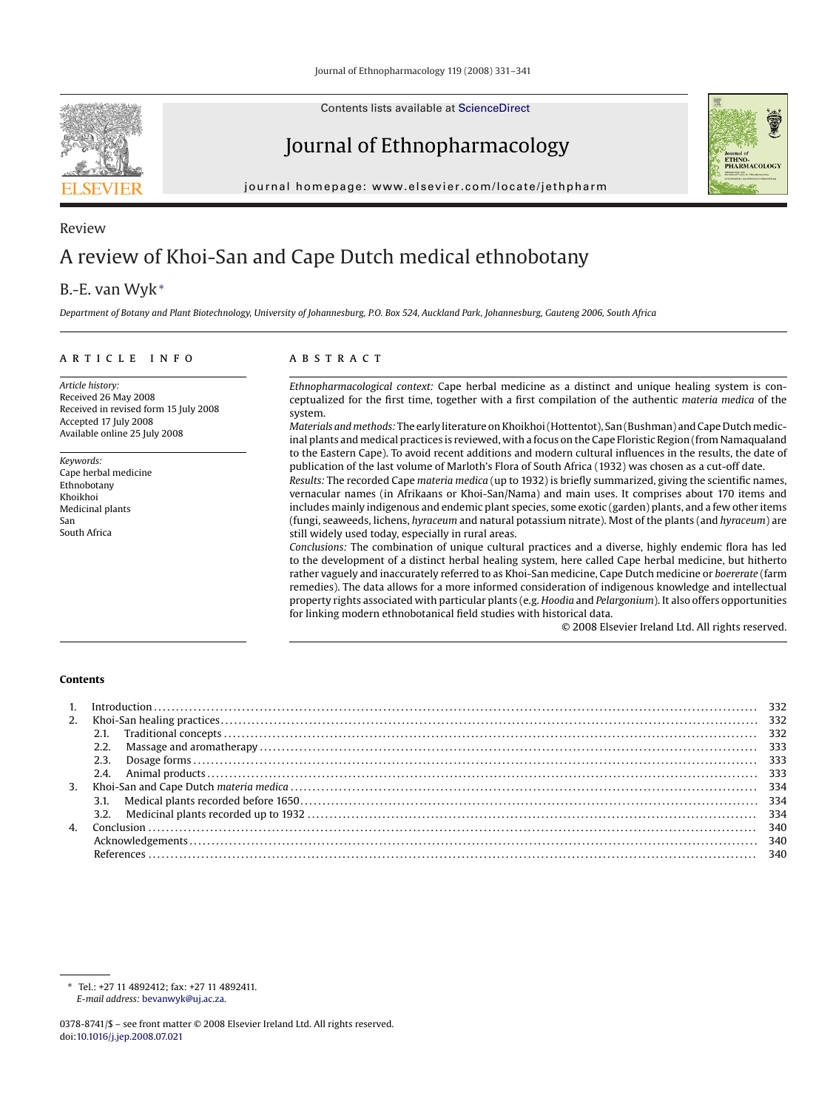

Contents lists available at [ScienceDirect](http://www.sciencedirect.com/science/journal/03788741)

# Journal of Ethnopharmacology

journal homepage: www.elsevier.com/locate/jethpharm



# Review A review of Khoi-San and Cape Dutch medical ethnobotany

## B.-E. van Wyk<sup>∗</sup>

*Department of Botany and Plant Biotechnology, University of Johannesburg, P.O. Box 524, Auckland Park, Johannesburg, Gauteng 2006, South Africa*

#### article info

*Article history:* Received 26 May 2008 Received in revised form 15 July 2008 Accepted 17 July 2008 Available online 25 July 2008

*Keywords:* Cape herbal medicine Ethnobotany Khoikhoi Medicinal plants San South Africa

#### ABSTRACT

*Ethnopharmacological context:* Cape herbal medicine as a distinct and unique healing system is conceptualized for the first time, together with a first compilation of the authentic *materia medica* of the system.

*Materials and methods:* The early literature on Khoikhoi (Hottentot), San (Bushman) and Cape Dutchmedicinal plants and medical practices is reviewed, with a focus on the Cape Floristic Region (from Namaqualand to the Eastern Cape). To avoid recent additions and modern cultural influences in the results, the date of publication of the last volume of Marloth's Flora of South Africa (1932) was chosen as a cut-off date.

*Results:* The recorded Cape *materia medica* (up to 1932) is briefly summarized, giving the scientific names, vernacular names (in Afrikaans or Khoi-San/Nama) and main uses. It comprises about 170 items and includes mainly indigenous and endemic plant species, some exotic (garden) plants, and a few other items (fungi, seaweeds, lichens, *hyraceum* and natural potassium nitrate). Most of the plants (and *hyraceum*) are still widely used today, especially in rural areas.

*Conclusions:* The combination of unique cultural practices and a diverse, highly endemic flora has led to the development of a distinct herbal healing system, here called Cape herbal medicine, but hitherto rather vaguely and inaccurately referred to as Khoi-San medicine, Cape Dutch medicine or *boererate* (farm remedies). The data allows for a more informed consideration of indigenous knowledge and intellectual property rights associated with particular plants (e.g. *Hoodia* and *Pelargonium*). It also offers opportunities for linking modern ethnobotanical field studies with historical data.

© 2008 Elsevier Ireland Ltd. All rights reserved.

#### **Contents**

| 2. | $Introduction \dots 332$ |     |
|----|--------------------------|-----|
|    |                          |     |
|    |                          |     |
|    | 2.3.                     |     |
|    |                          |     |
|    |                          |     |
|    |                          |     |
|    |                          |     |
|    |                          | 340 |
|    |                          | 340 |
|    |                          |     |

<sup>∗</sup> Tel.: +27 11 4892412; fax: +27 11 4892411. *E-mail address:* [bevanwyk@uj.ac.za](mailto:bevanwyk@uj.ac.za).

<sup>0378-8741/\$ –</sup> see front matter © 2008 Elsevier Ireland Ltd. All rights reserved. doi:[10.1016/j.jep.2008.07.021](dx.doi.org/10.1016/j.jep.2008.07.021)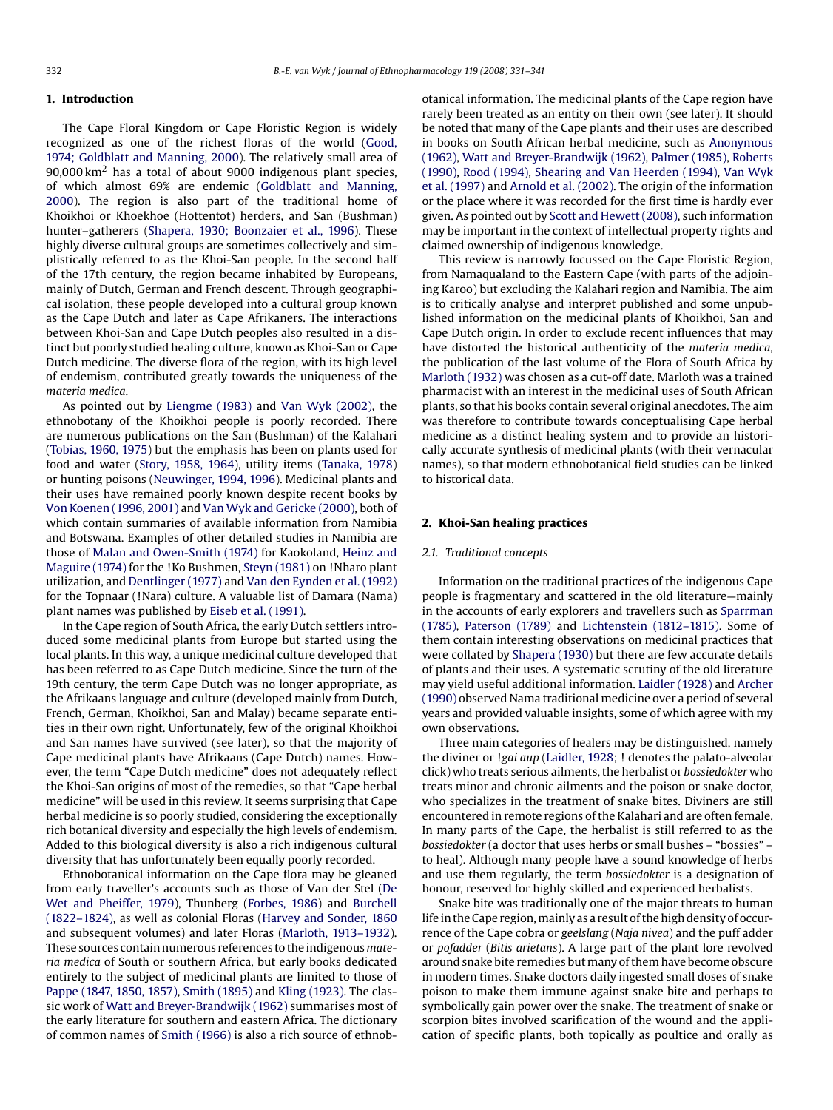#### **1. Introduction**

The Cape Floral Kingdom or Cape Floristic Region is widely recognized as one of the richest floras of the world ([Good,](#page-9-0) [1974; Goldblatt and Manning, 2000\).](#page-9-0) The relatively small area of  $90,000$  km<sup>2</sup> has a total of about  $9000$  indigenous plant species, of which almost 69% are endemic ([Goldblatt and Manning,](#page-9-0) [2000\).](#page-9-0) The region is also part of the traditional home of Khoikhoi or Khoekhoe (Hottentot) herders, and San (Bushman) hunter–gatherers [\(Shapera, 1930; Boonzaier et al., 1996\).](#page-9-0) These highly diverse cultural groups are sometimes collectively and simplistically referred to as the Khoi-San people. In the second half of the 17th century, the region became inhabited by Europeans, mainly of Dutch, German and French descent. Through geographical isolation, these people developed into a cultural group known as the Cape Dutch and later as Cape Afrikaners. The interactions between Khoi-San and Cape Dutch peoples also resulted in a distinct but poorly studied healing culture, known as Khoi-San or Cape Dutch medicine. The diverse flora of the region, with its high level of endemism, contributed greatly towards the uniqueness of the *materia medica*.

As pointed out by [Liengme \(1983\)](#page-9-0) and [Van Wyk \(2002\),](#page-10-0) the ethnobotany of the Khoikhoi people is poorly recorded. There are numerous publications on the San (Bushman) of the Kalahari ([Tobias, 1960, 1975\)](#page-10-0) but the emphasis has been on plants used for food and water ([Story, 1958, 1964\),](#page-10-0) utility items [\(Tanaka, 1978\)](#page-10-0) or hunting poisons ([Neuwinger, 1994, 1996\).](#page-9-0) Medicinal plants and their uses have remained poorly known despite recent books by [Von Koenen \(1996, 2001\)](#page-10-0) and [Van Wyk and Gericke \(2000\), b](#page-10-0)oth of which contain summaries of available information from Namibia and Botswana. Examples of other detailed studies in Namibia are those of [Malan and Owen-Smith \(1974\)](#page-9-0) for Kaokoland, [Heinz and](#page-9-0) [Maguire \(1974\)](#page-9-0) for the !Ko Bushmen, [Steyn \(1981\)](#page-10-0) on !Nharo plant utilization, and [Dentlinger \(1977\)](#page-9-0) and [Van den Eynden et al. \(1992\)](#page-10-0) for the Topnaar (!Nara) culture. A valuable list of Damara (Nama) plant names was published by [Eiseb et al. \(1991\).](#page-9-0)

In the Cape region of South Africa, the early Dutch settlers introduced some medicinal plants from Europe but started using the local plants. In this way, a unique medicinal culture developed that has been referred to as Cape Dutch medicine. Since the turn of the 19th century, the term Cape Dutch was no longer appropriate, as the Afrikaans language and culture (developed mainly from Dutch, French, German, Khoikhoi, San and Malay) became separate entities in their own right. Unfortunately, few of the original Khoikhoi and San names have survived (see later), so that the majority of Cape medicinal plants have Afrikaans (Cape Dutch) names. However, the term "Cape Dutch medicine" does not adequately reflect the Khoi-San origins of most of the remedies, so that "Cape herbal medicine" will be used in this review. It seems surprising that Cape herbal medicine is so poorly studied, considering the exceptionally rich botanical diversity and especially the high levels of endemism. Added to this biological diversity is also a rich indigenous cultural diversity that has unfortunately been equally poorly recorded.

Ethnobotanical information on the Cape flora may be gleaned from early traveller's accounts such as those of Van der Stel ([De](#page-9-0) [Wet and Pheiffer, 1979\),](#page-9-0) Thunberg [\(Forbes, 1986\)](#page-9-0) and [Burchell](#page-9-0) [\(1822–1824\), a](#page-9-0)s well as colonial Floras ([Harvey and Sonder, 1860](#page-9-0) and subsequent volumes) and later Floras [\(Marloth, 1913–1932\).](#page-9-0) These sources contain numerous references to the indigenous*materia medica* of South or southern Africa, but early books dedicated entirely to the subject of medicinal plants are limited to those of [Pappe \(1847, 1850, 1857\),](#page-9-0) [Smith \(1895\)](#page-10-0) and [Kling \(1923\). T](#page-9-0)he classic work of [Watt and Breyer-Brandwijk \(1962\)](#page-10-0) summarises most of the early literature for southern and eastern Africa. The dictionary of common names of [Smith \(1966\)](#page-10-0) is also a rich source of ethnobotanical information. The medicinal plants of the Cape region have rarely been treated as an entity on their own (see later). It should be noted that many of the Cape plants and their uses are described in books on South African herbal medicine, such as [Anonymous](#page-9-0) [\(1962\),](#page-9-0) [Watt and Breyer-Brandwijk \(1962\),](#page-10-0) [Palmer \(1985\),](#page-9-0) [Roberts](#page-9-0) [\(1990\),](#page-9-0) [Rood \(1994\),](#page-9-0) [Shearing and Van Heerden \(1994\),](#page-10-0) [Van Wyk](#page-10-0) [et al. \(1997\)](#page-10-0) and [Arnold et al. \(2002\). T](#page-9-0)he origin of the information or the place where it was recorded for the first time is hardly ever given. As pointed out by [Scott and Hewett \(2008\), s](#page-9-0)uch information may be important in the context of intellectual property rights and claimed ownership of indigenous knowledge.

This review is narrowly focussed on the Cape Floristic Region, from Namaqualand to the Eastern Cape (with parts of the adjoining Karoo) but excluding the Kalahari region and Namibia. The aim is to critically analyse and interpret published and some unpublished information on the medicinal plants of Khoikhoi, San and Cape Dutch origin. In order to exclude recent influences that may have distorted the historical authenticity of the *materia medica*, the publication of the last volume of the Flora of South Africa by [Marloth \(1932\)](#page-9-0) was chosen as a cut-off date. Marloth was a trained pharmacist with an interest in the medicinal uses of South African plants, so that his books contain several original anecdotes. The aim was therefore to contribute towards conceptualising Cape herbal medicine as a distinct healing system and to provide an historically accurate synthesis of medicinal plants (with their vernacular names), so that modern ethnobotanical field studies can be linked to historical data.

### **2. Khoi-San healing practices**

#### *2.1. Traditional concepts*

Information on the traditional practices of the indigenous Cape people is fragmentary and scattered in the old literature—mainly in the accounts of early explorers and travellers such as [Sparrman](#page-10-0) [\(1785\),](#page-10-0) [Paterson \(1789\)](#page-9-0) and [Lichtenstein \(1812–1815\).](#page-9-0) Some of them contain interesting observations on medicinal practices that were collated by [Shapera \(1930\)](#page-9-0) but there are few accurate details of plants and their uses. A systematic scrutiny of the old literature may yield useful additional information. [Laidler \(1928\)](#page-9-0) and [Archer](#page-9-0) [\(1990\)](#page-9-0) observed Nama traditional medicine over a period of several years and provided valuable insights, some of which agree with my own observations.

Three main categories of healers may be distinguished, namely the diviner or !*gai aup* ([Laidler, 1928; !](#page-9-0) denotes the palato-alveolar click) who treats serious ailments, the herbalist or *bossiedokter* who treats minor and chronic ailments and the poison or snake doctor, who specializes in the treatment of snake bites. Diviners are still encountered in remote regions of the Kalahari and are often female. In many parts of the Cape, the herbalist is still referred to as the *bossiedokter* (a doctor that uses herbs or small bushes – "bossies" – to heal). Although many people have a sound knowledge of herbs and use them regularly, the term *bossiedokter* is a designation of honour, reserved for highly skilled and experienced herbalists.

Snake bite was traditionally one of the major threats to human life in the Cape region, mainly as a result of the high density of occurrence of the Cape cobra or *geelslang* (*Naja nivea*) and the puff adder or *pofadder* (*Bitis arietans*). A large part of the plant lore revolved around snake bite remedies but many of them have become obscure in modern times. Snake doctors daily ingested small doses of snake poison to make them immune against snake bite and perhaps to symbolically gain power over the snake. The treatment of snake or scorpion bites involved scarification of the wound and the application of specific plants, both topically as poultice and orally as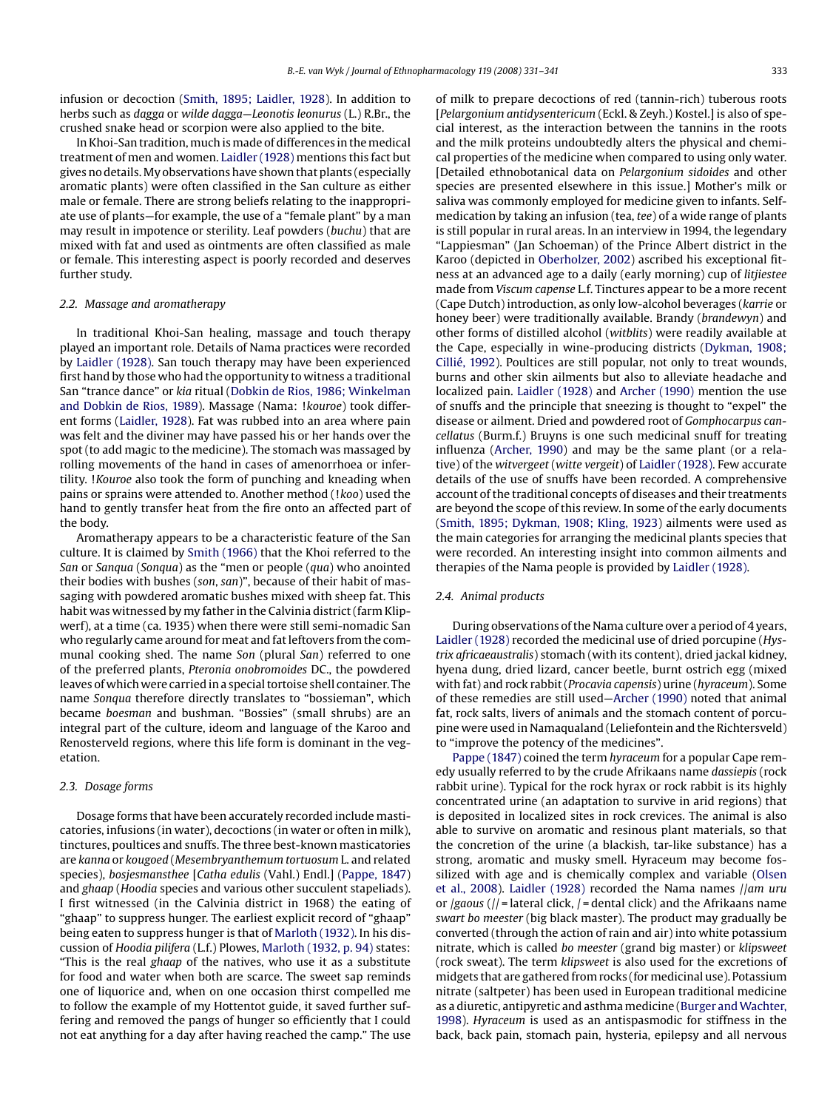infusion or decoction [\(Smith, 1895; Laidler, 1928\).](#page-10-0) In addition to herbs such as *dagga* or *wilde dagga*—*Leonotis leonurus* (L.) R.Br., the crushed snake head or scorpion were also applied to the bite.

In Khoi-San tradition, much is made of differences in the medical treatment of men and women. [Laidler \(1928\)](#page-9-0) mentions this fact but gives no details.My observations have shown that plants (especially aromatic plants) were often classified in the San culture as either male or female. There are strong beliefs relating to the inappropriate use of plants—for example, the use of a "female plant" by a man may result in impotence or sterility. Leaf powders (*buchu*) that are mixed with fat and used as ointments are often classified as male or female. This interesting aspect is poorly recorded and deserves further study.

#### *2.2. Massage and aromatherapy*

In traditional Khoi-San healing, massage and touch therapy played an important role. Details of Nama practices were recorded by [Laidler \(1928\).](#page-9-0) San touch therapy may have been experienced first hand by those who had the opportunity to witness a traditional San "trance dance" or *kia* ritual ([Dobkin de Rios, 1986; Winkelman](#page-9-0) [and Dobkin de Rios, 1989\).](#page-9-0) Massage (Nama: !*kouroe*) took different forms [\(Laidler, 1928\).](#page-9-0) Fat was rubbed into an area where pain was felt and the diviner may have passed his or her hands over the spot (to add magic to the medicine). The stomach was massaged by rolling movements of the hand in cases of amenorrhoea or infertility. !*Kouroe* also took the form of punching and kneading when pains or sprains were attended to. Another method (!*koo*) used the hand to gently transfer heat from the fire onto an affected part of the body.

Aromatherapy appears to be a characteristic feature of the San culture. It is claimed by [Smith \(1966\)](#page-10-0) that the Khoi referred to the *San* or *Sanqua* (*Sonqua*) as the "men or people (*qua*) who anointed their bodies with bushes (*son*, *san*)", because of their habit of massaging with powdered aromatic bushes mixed with sheep fat. This habit was witnessed by my father in the Calvinia district (farm Klipwerf), at a time (ca. 1935) when there were still semi-nomadic San who regularly came around for meat and fat leftovers from the communal cooking shed. The name *Son* (plural *San*) referred to one of the preferred plants, *Pteronia onobromoides* DC., the powdered leaves of which were carried in a special tortoise shell container. The name *Sonqua* therefore directly translates to "bossieman", which became *boesman* and bushman. "Bossies" (small shrubs) are an integral part of the culture, ideom and language of the Karoo and Renosterveld regions, where this life form is dominant in the vegetation.

#### *2.3. Dosage forms*

Dosage forms that have been accurately recorded include masticatories, infusions (in water), decoctions (in water or often in milk), tinctures, poultices and snuffs. The three best-known masticatories are *kanna* or *kougoed* (*Mesembryanthemum tortuosum* L. and related species), *bosjesmansthee* [*Catha edulis* (Vahl.) Endl.] ([Pappe, 1847\)](#page-9-0) and *ghaap* (*Hoodia* species and various other succulent stapeliads). I first witnessed (in the Calvinia district in 1968) the eating of "ghaap" to suppress hunger. The earliest explicit record of "ghaap" being eaten to suppress hunger is that of [Marloth \(1932\). I](#page-9-0)n his discussion of *Hoodia pilifera* (L.f.) Plowes, [Marloth \(1932, p. 94\)](#page-9-0) states: "This is the real *ghaap* of the natives, who use it as a substitute for food and water when both are scarce. The sweet sap reminds one of liquorice and, when on one occasion thirst compelled me to follow the example of my Hottentot guide, it saved further suffering and removed the pangs of hunger so efficiently that I could not eat anything for a day after having reached the camp." The use of milk to prepare decoctions of red (tannin-rich) tuberous roots [*Pelargonium antidysentericum* (Eckl. & Zeyh.) Kostel.] is also of special interest, as the interaction between the tannins in the roots and the milk proteins undoubtedly alters the physical and chemical properties of the medicine when compared to using only water. [Detailed ethnobotanical data on *Pelargonium sidoides* and other species are presented elsewhere in this issue.] Mother's milk or saliva was commonly employed for medicine given to infants. Selfmedication by taking an infusion (tea, *tee*) of a wide range of plants is still popular in rural areas. In an interview in 1994, the legendary "Lappiesman" (Jan Schoeman) of the Prince Albert district in the Karoo (depicted in [Oberholzer, 2002\)](#page-9-0) ascribed his exceptional fitness at an advanced age to a daily (early morning) cup of *litjiestee* made from *Viscum capense* L.f. Tinctures appear to be a more recent (Cape Dutch) introduction, as only low-alcohol beverages (*karrie* or honey beer) were traditionally available. Brandy (*brandewyn*) and other forms of distilled alcohol (*witblits*) were readily available at the Cape, especially in wine-producing districts [\(Dykman, 1908;](#page-9-0) [Cillié, 1992\).](#page-9-0) Poultices are still popular, not only to treat wounds, burns and other skin ailments but also to alleviate headache and localized pain. [Laidler \(1928\)](#page-9-0) and [Archer \(1990\)](#page-9-0) mention the use of snuffs and the principle that sneezing is thought to "expel" the disease or ailment. Dried and powdered root of *Gomphocarpus cancellatus* (Burm.f.) Bruyns is one such medicinal snuff for treating influenza ([Archer, 1990\)](#page-9-0) and may be the same plant (or a relative) of the *witvergeet* (*witte vergeit*) of [Laidler \(1928\). F](#page-9-0)ew accurate details of the use of snuffs have been recorded. A comprehensive account of the traditional concepts of diseases and their treatments are beyond the scope of this review. In some of the early documents ([Smith, 1895; Dykman, 1908; Kling, 1923\)](#page-10-0) ailments were used as the main categories for arranging the medicinal plants species that were recorded. An interesting insight into common ailments and therapies of the Nama people is provided by [Laidler \(1928\).](#page-9-0)

#### *2.4. Animal products*

During observations of the Nama culture over a period of 4 years, [Laidler \(1928\)](#page-9-0) recorded the medicinal use of dried porcupine (*Hystrix africaeaustralis*) stomach (with its content), dried jackal kidney, hyena dung, dried lizard, cancer beetle, burnt ostrich egg (mixed with fat) and rock rabbit (*Procavia capensis*) urine (*hyraceum*). Some of these remedies are still used—[Archer \(1990\)](#page-9-0) noted that animal fat, rock salts, livers of animals and the stomach content of porcupine were used in Namaqualand (Leliefontein and the Richtersveld) to "improve the potency of the medicines".

[Pappe \(1847\)](#page-9-0) coined the term *hyraceum* for a popular Cape remedy usually referred to by the crude Afrikaans name *dassiepis* (rock rabbit urine). Typical for the rock hyrax or rock rabbit is its highly concentrated urine (an adaptation to survive in arid regions) that is deposited in localized sites in rock crevices. The animal is also able to survive on aromatic and resinous plant materials, so that the concretion of the urine (a blackish, tar-like substance) has a strong, aromatic and musky smell. Hyraceum may become fossilized with age and is chemically complex and variable [\(Olsen](#page-9-0) [et al., 2008\).](#page-9-0) [Laidler \(1928\)](#page-9-0) recorded the Nama names //*am uru* or /*gaous* (// = lateral click, / = dental click) and the Afrikaans name *swart bo meester* (big black master). The product may gradually be converted (through the action of rain and air) into white potassium nitrate, which is called *bo meester* (grand big master) or *klipsweet* (rock sweat). The term *klipsweet* is also used for the excretions of midgets that are gathered from rocks (for medicinal use). Potassium nitrate (saltpeter) has been used in European traditional medicine as a diuretic, antipyretic and asthma medicine ([Burger andWachter,](#page-9-0) [1998\).](#page-9-0) *Hyraceum* is used as an antispasmodic for stiffness in the back, back pain, stomach pain, hysteria, epilepsy and all nervous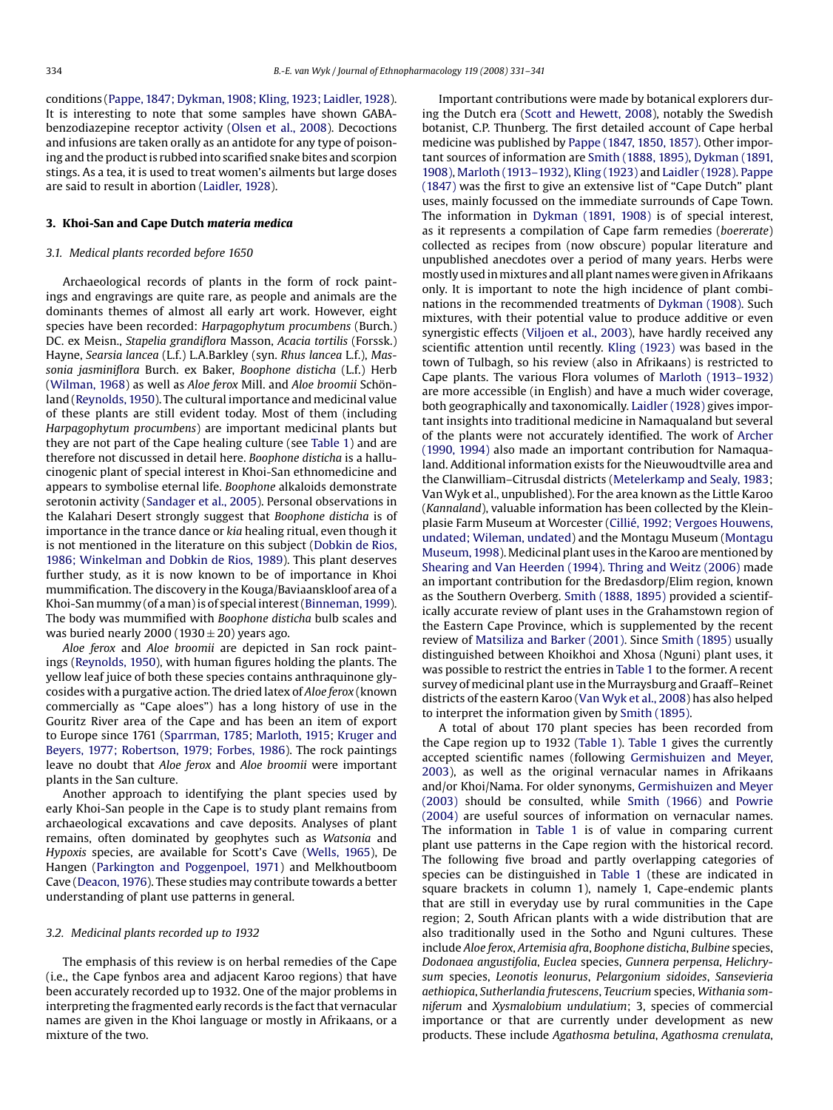conditions ([Pappe, 1847; Dykman, 1908; Kling, 1923; Laidler, 1928\).](#page-9-0) It is interesting to note that some samples have shown GABAbenzodiazepine receptor activity ([Olsen et al., 2008\).](#page-9-0) Decoctions and infusions are taken orally as an antidote for any type of poisoning and the product is rubbed into scarified snake bites and scorpion stings. As a tea, it is used to treat women's ailments but large doses are said to result in abortion [\(Laidler, 1928\).](#page-9-0)

#### **3. Khoi-San and Cape Dutch** *materia medica*

#### *3.1. Medical plants recorded before 1650*

Archaeological records of plants in the form of rock paintings and engravings are quite rare, as people and animals are the dominants themes of almost all early art work. However, eight species have been recorded: *Harpagophytum procumbens* (Burch.) DC. ex Meisn., *Stapelia grandiflora* Masson, *Acacia tortilis* (Forssk.) Hayne, *Searsia lancea* (L.f.) L.A.Barkley (syn. *Rhus lancea* L.f.), *Massonia jasminiflora* Burch. ex Baker, *Boophone disticha* (L.f.) Herb ([Wilman, 1968\)](#page-10-0) as well as *Aloe ferox* Mill. and *Aloe broomii* Schönland [\(Reynolds, 1950\).](#page-9-0) The cultural importance and medicinal value of these plants are still evident today. Most of them (including *Harpagophytum procumbens*) are important medicinal plants but they are not part of the Cape healing culture (see [Table 1\)](#page-4-0) and are therefore not discussed in detail here. *Boophone disticha* is a hallucinogenic plant of special interest in Khoi-San ethnomedicine and appears to symbolise eternal life. *Boophone* alkaloids demonstrate serotonin activity ([Sandager et al., 2005\).](#page-9-0) Personal observations in the Kalahari Desert strongly suggest that *Boophone disticha* is of importance in the trance dance or *kia* healing ritual, even though it is not mentioned in the literature on this subject ([Dobkin de Rios,](#page-9-0) [1986; Winkelman and Dobkin de Rios, 1989\).](#page-9-0) This plant deserves further study, as it is now known to be of importance in Khoi mummification. The discovery in the Kouga/Baviaanskloof area of a Khoi-Sanmummy (of aman) is of special interest [\(Binneman, 1999\).](#page-9-0) The body was mummified with *Boophone disticha* bulb scales and was buried nearly 2000 (1930  $\pm$  20) years ago.

*Aloe ferox* and *Aloe broomii* are depicted in San rock paintings ([Reynolds, 1950\),](#page-9-0) with human figures holding the plants. The yellow leaf juice of both these species contains anthraquinone glycosides with a purgative action. The dried latex of *Aloe ferox* (known commercially as "Cape aloes") has a long history of use in the Gouritz River area of the Cape and has been an item of export to Europe since 1761 ([Sparrman, 1785;](#page-10-0) [Marloth, 1915;](#page-9-0) [Kruger and](#page-9-0) [Beyers, 1977; Robertson, 1979; Forbes, 1986\).](#page-9-0) The rock paintings leave no doubt that *Aloe ferox* and *Aloe broomii* were important plants in the San culture.

Another approach to identifying the plant species used by early Khoi-San people in the Cape is to study plant remains from archaeological excavations and cave deposits. Analyses of plant remains, often dominated by geophytes such as *Watsonia* and *Hypoxis* species, are available for Scott's Cave [\(Wells, 1965\),](#page-10-0) De Hangen [\(Parkington and Poggenpoel, 1971\)](#page-9-0) and Melkhoutboom Cave [\(Deacon, 1976\).](#page-9-0) These studies may contribute towards a better understanding of plant use patterns in general.

#### *3.2. Medicinal plants recorded up to 1932*

The emphasis of this review is on herbal remedies of the Cape (i.e., the Cape fynbos area and adjacent Karoo regions) that have been accurately recorded up to 1932. One of the major problems in interpreting the fragmented early records is the fact that vernacular names are given in the Khoi language or mostly in Afrikaans, or a mixture of the two.

Important contributions were made by botanical explorers during the Dutch era ([Scott and Hewett, 2008\),](#page-9-0) notably the Swedish botanist, C.P. Thunberg. The first detailed account of Cape herbal medicine was published by [Pappe \(1847, 1850, 1857\). O](#page-9-0)ther important sources of information are [Smith \(1888, 1895\),](#page-10-0) [Dykman \(1891,](#page-9-0) [1908\),](#page-9-0) [Marloth \(1913–1932\),](#page-9-0) [Kling \(1923\)](#page-9-0) and [Laidler \(1928\).](#page-9-0) [Pappe](#page-9-0) [\(1847\)](#page-9-0) was the first to give an extensive list of "Cape Dutch" plant uses, mainly focussed on the immediate surrounds of Cape Town. The information in [Dykman \(1891, 1908\)](#page-9-0) is of special interest, as it represents a compilation of Cape farm remedies (*boererate*) collected as recipes from (now obscure) popular literature and unpublished anecdotes over a period of many years. Herbs were mostly used inmixtures and all plant names were given in Afrikaans only. It is important to note the high incidence of plant combinations in the recommended treatments of [Dykman \(1908\). S](#page-9-0)uch mixtures, with their potential value to produce additive or even synergistic effects [\(Viljoen et al., 2003\),](#page-10-0) have hardly received any scientific attention until recently. [Kling \(1923\)](#page-9-0) was based in the town of Tulbagh, so his review (also in Afrikaans) is restricted to Cape plants. The various Flora volumes of [Marloth \(1913–1932\)](#page-9-0) are more accessible (in English) and have a much wider coverage, both geographically and taxonomically. [Laidler \(1928\)](#page-9-0) gives important insights into traditional medicine in Namaqualand but several of the plants were not accurately identified. The work of [Archer](#page-9-0) [\(1990, 1994\)](#page-9-0) also made an important contribution for Namaqualand. Additional information exists for the Nieuwoudtville area and the Clanwilliam–Citrusdal districts ([Metelerkamp and Sealy, 1983;](#page-9-0) Van Wyk et al., unpublished). For the area known as the Little Karoo (*Kannaland*), valuable information has been collected by the Kleinplasie Farm Museum at Worcester [\(Cillié, 1992; Vergoes Houwens,](#page-9-0) [undated; Wileman, undated\) a](#page-9-0)nd the Montagu Museum ([Montagu](#page-9-0) [Museum, 1998\).](#page-9-0) Medicinal plant uses in the Karoo are mentioned by [Shearing and Van Heerden \(1994\).](#page-10-0) [Thring and Weitz \(2006\)](#page-10-0) made an important contribution for the Bredasdorp/Elim region, known as the Southern Overberg. [Smith \(1888, 1895\)](#page-10-0) provided a scientifically accurate review of plant uses in the Grahamstown region of the Eastern Cape Province, which is supplemented by the recent review of [Matsiliza and Barker \(2001\). S](#page-9-0)ince [Smith \(1895\)](#page-10-0) usually distinguished between Khoikhoi and Xhosa (Nguni) plant uses, it was possible to restrict the entries in [Table 1](#page-4-0) to the former. A recent survey of medicinal plant use in the Murraysburg and Graaff–Reinet districts of the eastern Karoo [\(Van Wyk et al., 2008\) h](#page-10-0)as also helped to interpret the information given by [Smith \(1895\).](#page-10-0)

A total of about 170 plant species has been recorded from the Cape region up to 1932 [\(Table 1\).](#page-4-0) [Table 1](#page-4-0) gives the currently accepted scientific names (following [Germishuizen and Meyer,](#page-9-0) [2003\),](#page-9-0) as well as the original vernacular names in Afrikaans and/or Khoi/Nama. For older synonyms, [Germishuizen and Meyer](#page-9-0) [\(2003\)](#page-9-0) should be consulted, while [Smith \(1966\)](#page-10-0) and [Powrie](#page-9-0) [\(2004\)](#page-9-0) are useful sources of information on vernacular names. The information in [Table 1](#page-4-0) is of value in comparing current plant use patterns in the Cape region with the historical record. The following five broad and partly overlapping categories of species can be distinguished in [Table 1](#page-4-0) (these are indicated in square brackets in column 1), namely 1, Cape-endemic plants that are still in everyday use by rural communities in the Cape region; 2, South African plants with a wide distribution that are also traditionally used in the Sotho and Nguni cultures. These include *Aloe ferox*, *Artemisia afra*, *Boophone disticha*, *Bulbine* species, *Dodonaea angustifolia*, *Euclea* species, *Gunnera perpensa*, *Helichrysum* species, *Leonotis leonurus*, *Pelargonium sidoides*, *Sansevieria aethiopica*, *Sutherlandia frutescens*, *Teucrium* species, *Withania somniferum* and *Xysmalobium undulatium*; 3, species of commercial importance or that are currently under development as new products. These include *Agathosma betulina*, *Agathosma crenulata*,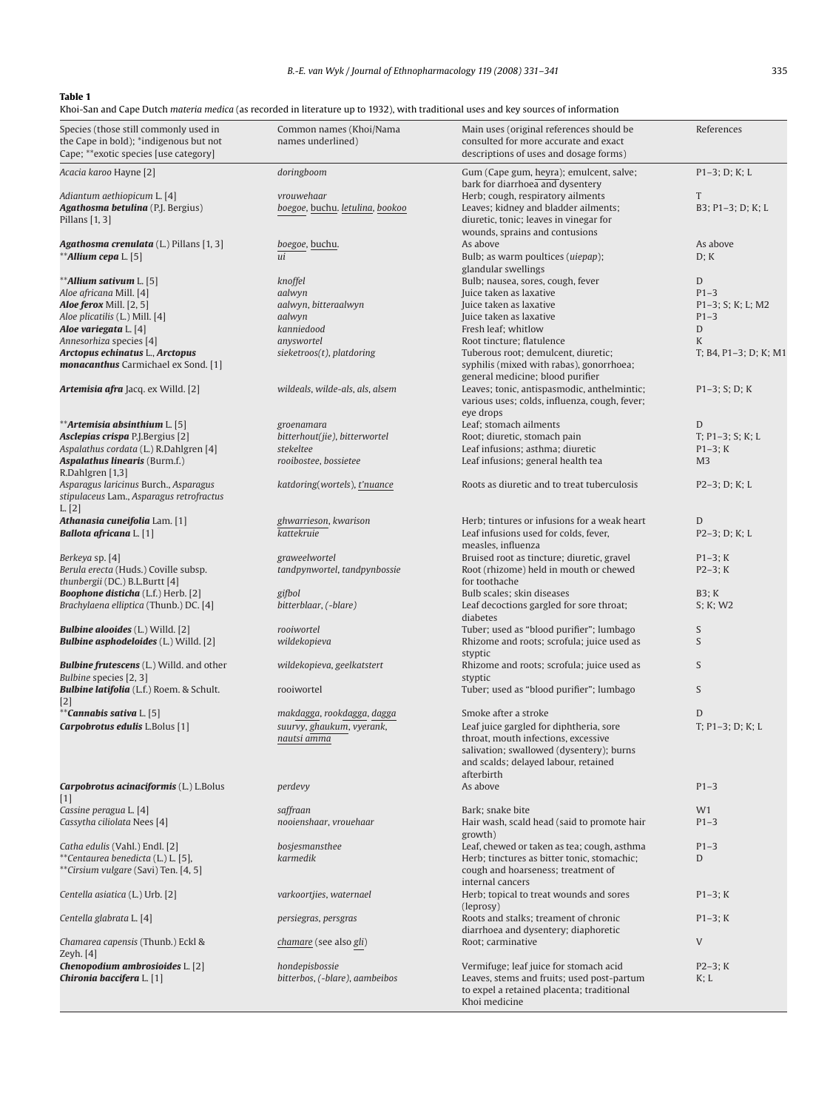### *B.-E. van Wyk / Journal of Ethnopharmacology 119 (2008) 331–341* 335

#### <span id="page-4-0"></span>**Table 1**

Khoi-San and Cape Dutch *materia medica* (as recorded in literature up to 1932), with traditional uses and key sources of information

| Species (those still commonly used in<br>the Cape in bold); *indigenous but not<br>Cape; **exotic species [use category] | Common names (Khoi/Nama<br>names underlined)                           | Main uses (original references should be<br>consulted for more accurate and exact<br>descriptions of uses and dosage forms)                                                                              | References                  |
|--------------------------------------------------------------------------------------------------------------------------|------------------------------------------------------------------------|----------------------------------------------------------------------------------------------------------------------------------------------------------------------------------------------------------|-----------------------------|
| Acacia karoo Hayne [2]                                                                                                   | doringboom                                                             | Gum (Cape gum, heyra); emulcent, salve;<br>bark for diarrhoea and dysentery                                                                                                                              | $P1-3; D; K; L$             |
| Adiantum aethiopicum L. [4]<br><b>Agathosma betulina</b> (P.J. Bergius)<br>Pillans $[1, 3]$                              | vrouwehaar<br>boegoe, buchu. letulina, bookoo                          | Herb; cough, respiratory ailments<br>Leaves; kidney and bladder ailments;<br>diuretic, tonic; leaves in vinegar for                                                                                      | T<br>B3; P1-3; D; K; L      |
|                                                                                                                          |                                                                        | wounds, sprains and contusions                                                                                                                                                                           |                             |
| <b>Agathosma crenulata</b> (L.) Pillans [1, 3]                                                                           | boegoe, buchu.                                                         | As above                                                                                                                                                                                                 | As above                    |
| **Allium cepa L. [5]                                                                                                     | ui                                                                     | Bulb; as warm poultices (uiepap);                                                                                                                                                                        | D: K                        |
| ** <b>Allium sativum</b> L. [5]                                                                                          | knoffel                                                                | glandular swellings<br>Bulb; nausea, sores, cough, fever                                                                                                                                                 | D                           |
| Aloe africana Mill. [4]                                                                                                  | aalwyn                                                                 | Juice taken as laxative                                                                                                                                                                                  | $P1 - 3$                    |
| <b>Aloe ferox</b> Mill. [2, 5]                                                                                           | aalwyn, bitteraalwyn                                                   | Juice taken as laxative                                                                                                                                                                                  | P1-3; S; K; L; M2           |
| Aloe plicatilis (L.) Mill. [4]                                                                                           | aalwyn                                                                 | Juice taken as laxative                                                                                                                                                                                  | $P1-3$                      |
| Aloe variegata L. [4]<br>Annesorhiza species [4]                                                                         | kanniedood<br>anyswortel                                               | Fresh leaf; whitlow<br>Root tincture; flatulence                                                                                                                                                         | D<br>K                      |
| Arctopus echinatus L., Arctopus<br><b>monacanthus</b> Carmichael ex Sond. [1]                                            | sieketroos(t), platdoring                                              | Tuberous root; demulcent, diuretic;<br>syphilis (mixed with rabas), gonorrhoea;                                                                                                                          | T; B4, P1-3; D; K; M1       |
| <b>Artemisia afra</b> Jacq. ex Willd. [2]                                                                                | wildeals, wilde-als, als, alsem                                        | general medicine; blood purifier<br>Leaves; tonic, antispasmodic, anthelmintic;<br>various uses; colds, influenza, cough, fever;                                                                         | $P1-3$ ; S; D; K            |
|                                                                                                                          |                                                                        | eye drops                                                                                                                                                                                                |                             |
| **Artemisia absinthium L. [5]<br>Asclepias crispa P.J.Bergius [2]                                                        | groenamara<br>bitterhout(jie), bitterwortel                            | Leaf; stomach ailments<br>Root; diuretic, stomach pain                                                                                                                                                   | D<br>$T; P1-3; S; K; L$     |
| Aspalathus cordata (L.) R.Dahlgren [4]<br>Aspalathus linearis (Burm.f.)                                                  | stekeltee<br>rooibostee, bossietee                                     | Leaf infusions; asthma; diuretic<br>Leaf infusions; general health tea                                                                                                                                   | $P1-3; K$<br>M <sub>3</sub> |
| R.Dahlgren [1,3]<br>Asparagus laricinus Burch., Asparagus<br>stipulaceus Lam., Asparagus retrofractus                    | katdoring(wortels), t'nuance                                           | Roots as diuretic and to treat tuberculosis                                                                                                                                                              | $P2-3$ ; D; K; L            |
| L. [2]                                                                                                                   |                                                                        |                                                                                                                                                                                                          |                             |
| <b>Athanasia cuneifolia</b> Lam. [1]<br><b>Ballota africana</b> L. [1]                                                   | ghwarrieson, kwarison<br>kattekruie                                    | Herb; tintures or infusions for a weak heart<br>Leaf infusions used for colds, fever,                                                                                                                    | D<br>$P2-3; D; K; L$        |
| Berkeya sp. [4]                                                                                                          | graweelwortel                                                          | measles, influenza<br>Bruised root as tincture; diuretic, gravel                                                                                                                                         | $P1-3; K$                   |
| Berula erecta (Huds.) Coville subsp.<br>thunbergii (DC.) B.L.Burtt [4]                                                   | tandpynwortel, tandpynbossie                                           | Root (rhizome) held in mouth or chewed<br>for toothache                                                                                                                                                  | $P2-3; K$                   |
| <b>Boophone disticha</b> (L.f.) Herb. [2]                                                                                | gifbol                                                                 | Bulb scales; skin diseases                                                                                                                                                                               | B3; K                       |
| Brachylaena elliptica (Thunb.) DC. [4]                                                                                   | bitterblaar, (-blare)                                                  | Leaf decoctions gargled for sore throat;<br>diabetes                                                                                                                                                     | S; K; W2                    |
| <b>Bulbine alooides</b> (L.) Willd. [2]<br><b>Bulbine asphodeloides</b> (L.) Willd. [2]                                  | rooiwortel<br>wildekopieva                                             | Tuber; used as "blood purifier"; lumbago<br>Rhizome and roots; scrofula; juice used as                                                                                                                   | S<br>S                      |
| <b>Bulbine frutescens</b> (L.) Willd. and other                                                                          | wildekopieva, geelkatstert                                             | styptic<br>Rhizome and roots; scrofula; juice used as                                                                                                                                                    | S                           |
| Bulbine species [2, 3]<br><b>Bulbine latifolia</b> (L.f.) Roem. & Schult.                                                | rooiwortel                                                             | styptic<br>Tuber; used as "blood purifier"; lumbago                                                                                                                                                      | S                           |
| $[2]$<br>**Cannabis sativa L. [5]                                                                                        |                                                                        |                                                                                                                                                                                                          | D                           |
| Carpobrotus edulis L.Bolus [1]                                                                                           | makdagga, rookdagga, dagga<br>suurvy, ghaukum, vyerank,<br>nautsi amma | Smoke after a stroke<br>Leaf juice gargled for diphtheria, sore<br>throat, mouth infections, excessive<br>salivation; swallowed (dysentery); burns<br>and scalds; delayed labour, retained<br>afterbirth | $T; P1-3; D; K; L$          |
| Carpobrotus acinaciformis (L.) L.Bolus<br>$[1]$                                                                          | perdevy                                                                | As above                                                                                                                                                                                                 | $P1-3$                      |
| Cassine peragua L. [4]                                                                                                   | saffraan                                                               | Bark; snake bite                                                                                                                                                                                         | W1                          |
| Cassytha ciliolata Nees [4]                                                                                              | nooienshaar, vrouehaar                                                 | Hair wash, scald head (said to promote hair<br>growth)                                                                                                                                                   | $P1 - 3$                    |
| Catha edulis (Vahl.) Endl. [2]<br>**Centaurea benedicta (L.) L. [5],<br>**Cirsium vulgare (Savi) Ten. [4, 5]             | bosjesmansthee<br>karmedik                                             | Leaf, chewed or taken as tea; cough, asthma<br>Herb; tinctures as bitter tonic, stomachic;<br>cough and hoarseness; treatment of<br>internal cancers                                                     | $P1-3$<br>D                 |
| Centella asiatica (L.) Urb. [2]                                                                                          | varkoortjies, waternael                                                | Herb; topical to treat wounds and sores<br>(leprosy)                                                                                                                                                     | $P1-3; K$                   |
| Centella glabrata L. [4]                                                                                                 | persiegras, persgras                                                   | Roots and stalks; treament of chronic<br>diarrhoea and dysentery; diaphoretic                                                                                                                            | $P1-3; K$                   |
| Chamarea capensis (Thunb.) Eckl &<br>Zeyh. [4]                                                                           | <i>chamare</i> (see also gli)                                          | Root; carminative                                                                                                                                                                                        | V                           |
| Chenopodium ambrosioides L. [2]<br>Chironia baccifera L. [1]                                                             | hondepisbossie<br>bitterbos, (-blare), aambeibos                       | Vermifuge; leaf juice for stomach acid<br>Leaves, stems and fruits; used post-partum<br>to expel a retained placenta; traditional<br>Khoi medicine                                                       | $P2-3; K$<br>K; L           |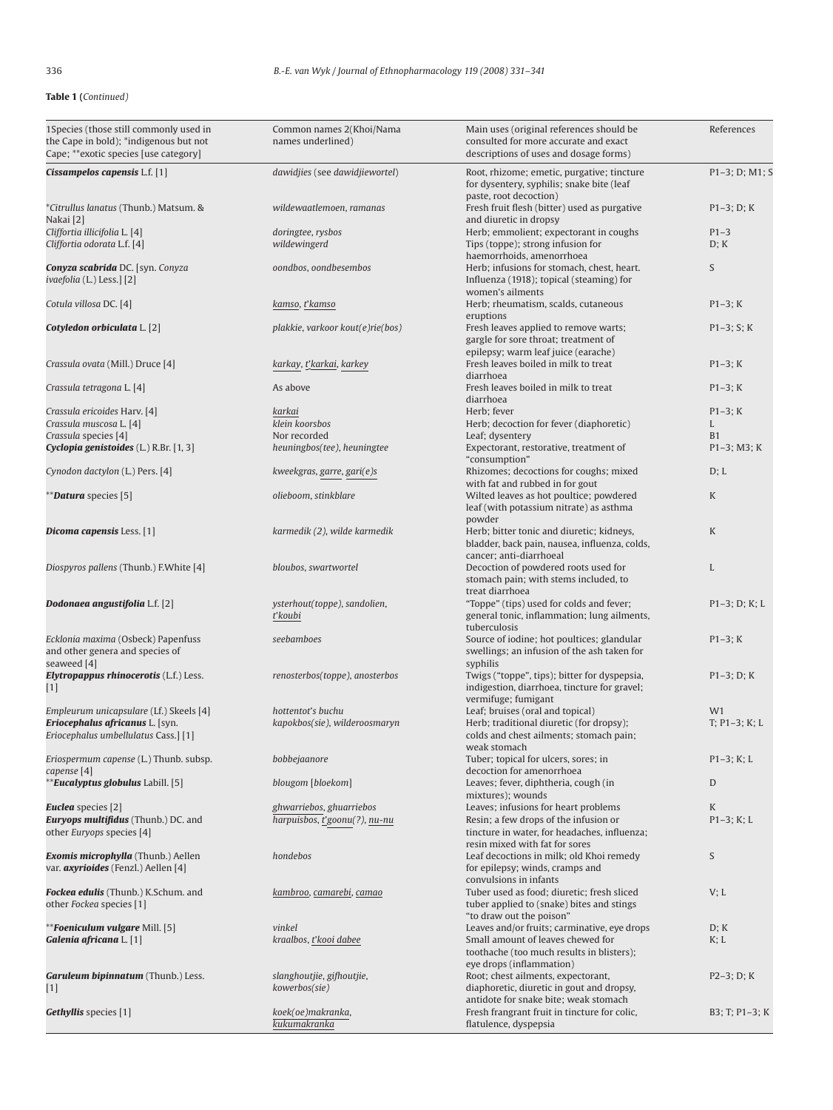| 1Species (those still commonly used in<br>the Cape in bold); *indigenous but not<br>Cape; **exotic species [use category] | Common names 2(Khoi/Nama<br>names underlined) | Main uses (original references should be<br>consulted for more accurate and exact<br>descriptions of uses and dosage forms)     | References       |
|---------------------------------------------------------------------------------------------------------------------------|-----------------------------------------------|---------------------------------------------------------------------------------------------------------------------------------|------------------|
| Cissampelos capensis L.f. [1]                                                                                             | dawidjies (see dawidjiewortel)                | Root, rhizome; emetic, purgative; tincture<br>for dysentery, syphilis; snake bite (leaf                                         | $P1-3; D; M1; S$ |
| <i>*Citrullus lanatus</i> (Thunb.) Matsum. &<br>Nakai [2]                                                                 | wildewaatlemoen, ramanas                      | paste, root decoction)<br>Fresh fruit flesh (bitter) used as purgative<br>and diuretic in dropsy                                | $P1-3; D; K$     |
| Cliffortia illicifolia L. [4]                                                                                             | doringtee, rysbos                             | Herb; emmolient; expectorant in coughs                                                                                          | $P1-3$           |
| Cliffortia odorata L.f. [4]                                                                                               | wildewingerd                                  | Tips (toppe); strong infusion for                                                                                               | D; K             |
|                                                                                                                           |                                               | haemorrhoids, amenorrhoea                                                                                                       |                  |
| <b>Conyza scabrida</b> DC. [syn. Conyza<br>ivaefolia (L.) Less.] [2]                                                      | oondbos, oondbesembos                         | Herb; infusions for stomach, chest, heart.<br>Influenza (1918); topical (steaming) for<br>women's ailments                      | S                |
| Cotula villosa DC. [4]                                                                                                    | kamso, t'kamso                                | Herb; rheumatism, scalds, cutaneous<br>eruptions                                                                                | $P1-3; K$        |
| <b>Cotyledon orbiculata</b> L. [2]                                                                                        | plakkie, varkoor kout(e)rie(bos)              | Fresh leaves applied to remove warts;<br>gargle for sore throat; treatment of                                                   | $P1-3; S; K$     |
| Crassula ovata (Mill.) Druce [4]                                                                                          | karkay, t'karkai, karkey                      | epilepsy; warm leaf juice (earache)<br>Fresh leaves boiled in milk to treat<br>diarrhoea                                        | $P1-3; K$        |
| Crassula tetragona L. [4]                                                                                                 | As above                                      | Fresh leaves boiled in milk to treat<br>diarrhoea                                                                               | $P1-3; K$        |
| Crassula ericoides Harv. [4]                                                                                              | karkai                                        | Herb; fever                                                                                                                     | $P1-3; K$        |
| Crassula muscosa L. [4]                                                                                                   | klein koorsbos                                | Herb; decoction for fever (diaphoretic)                                                                                         | L                |
| Crassula species [4]                                                                                                      | Nor recorded                                  | Leaf; dysentery                                                                                                                 | <b>B1</b>        |
| Cyclopia genistoides (L.) R.Br. [1, 3]                                                                                    | heuningbos(tee), heuningtee                   | Expectorant, restorative, treatment of<br>"consumption"                                                                         | $P1-3$ ; M3; K   |
| Cynodon dactylon (L.) Pers. [4]                                                                                           | kweekgras, garre, gari(e)s                    | Rhizomes; decoctions for coughs; mixed<br>with fat and rubbed in for gout                                                       | D; L             |
| <b><i>**Datura species</i></b> [5]                                                                                        | olieboom, stinkblare                          | Wilted leaves as hot poultice; powdered<br>leaf (with potassium nitrate) as asthma                                              | K                |
| <b>Dicoma capensis</b> Less. [1]                                                                                          | karmedik (2), wilde karmedik                  | powder<br>Herb; bitter tonic and diuretic; kidneys,<br>bladder, back pain, nausea, influenza, colds,<br>cancer; anti-diarrhoeal | K                |
| Diospyros pallens (Thunb.) F.White [4]                                                                                    | bloubos, swartwortel                          | Decoction of powdered roots used for<br>stomach pain; with stems included, to<br>treat diarrhoea                                | L                |
| Dodonaea angustifolia L.f. [2]                                                                                            | ysterhout(toppe), sandolien,<br>t'koubi       | "Toppe" (tips) used for colds and fever;<br>general tonic, inflammation; lung ailments,<br>tuberculosis                         | $P1-3$ ; D; K; L |
| Ecklonia maxima (Osbeck) Papenfuss<br>and other genera and species of<br>seaweed [4]                                      | seebamboes                                    | Source of iodine; hot poultices; glandular<br>swellings; an infusion of the ash taken for<br>syphilis                           | $P1-3; K$        |
| Elytropappus rhinocerotis (L.f.) Less.<br>$[1]$                                                                           | renosterbos(toppe), anosterbos                | Twigs ("toppe", tips); bitter for dyspepsia,<br>indigestion, diarrhoea, tincture for gravel;<br>vermifuge; fumigant             | $P1-3; D; K$     |
| Empleurum unicapsulare (Lf.) Skeels [4]                                                                                   | hottentot's buchu                             | Leaf; bruises (oral and topical)                                                                                                | W1               |
| Eriocephalus africanus L. [syn.                                                                                           | kapokbos(sie), wilderoosmaryn                 | Herb; traditional diuretic (for dropsy);                                                                                        | $T; P1-3; K; L$  |
| Eriocephalus umbellulatus Cass.] [1]                                                                                      |                                               | colds and chest ailments; stomach pain;<br>weak stomach                                                                         |                  |
| Eriospermum capense (L.) Thunb. subsp.<br>capense [4]                                                                     | bobbejaanore                                  | Tuber; topical for ulcers, sores; in<br>decoction for amenorrhoea                                                               | $P1-3; K; L$     |
| <b>Eucalyptus globulus</b> Labill. [5]                                                                                    | blougom [bloekom]                             | Leaves; fever, diphtheria, cough (in<br>mixtures); wounds                                                                       | D                |
| <b>Euclea</b> species [2]                                                                                                 | ghwarriebos, ghuarriebos                      | Leaves; infusions for heart problems                                                                                            | K                |
| Euryops multifidus (Thunb.) DC. and<br>other Euryops species [4]                                                          | harpuisbos, t'goonu(?), nu-nu                 | Resin; a few drops of the infusion or<br>tincture in water, for headaches, influenza;<br>resin mixed with fat for sores         | $P1-3; K; L$     |
| Exomis microphylla (Thunb.) Aellen<br>var. <i>axyrioides</i> (Fenzl.) Aellen [4]                                          | hondebos                                      | Leaf decoctions in milk; old Khoi remedy<br>for epilepsy; winds, cramps and<br>convulsions in infants                           | S                |
| Fockea edulis (Thunb.) K.Schum. and<br>other Fockea species [1]                                                           | kambroo, camarebi, camao                      | Tuber used as food; diuretic; fresh sliced<br>tuber applied to (snake) bites and stings<br>"to draw out the poison"             | V; L             |
| <b>**Foeniculum vulgare Mill. [5]</b>                                                                                     | vinkel                                        | Leaves and/or fruits; carminative, eye drops                                                                                    | D; K             |
| Galenia africana L. [1]                                                                                                   | kraalbos, t'kooi dabee                        | Small amount of leaves chewed for<br>toothache (too much results in blisters);                                                  | K; L             |
|                                                                                                                           |                                               | eye drops (inflammation)                                                                                                        |                  |
| Garuleum bipinnatum (Thunb.) Less.<br>$[1]$                                                                               | slanghoutjie, gifhoutjie,<br>kowerbos(sie)    | Root; chest ailments, expectorant,<br>diaphoretic, diuretic in gout and dropsy,                                                 | $P2-3; D; K$     |
| Gethyllis species [1]                                                                                                     | koek(oe)makranka,<br>kukumakranka             | antidote for snake bite; weak stomach<br>Fresh frangrant fruit in tincture for colic,<br>flatulence, dyspepsia                  | B3; T; P1-3; K   |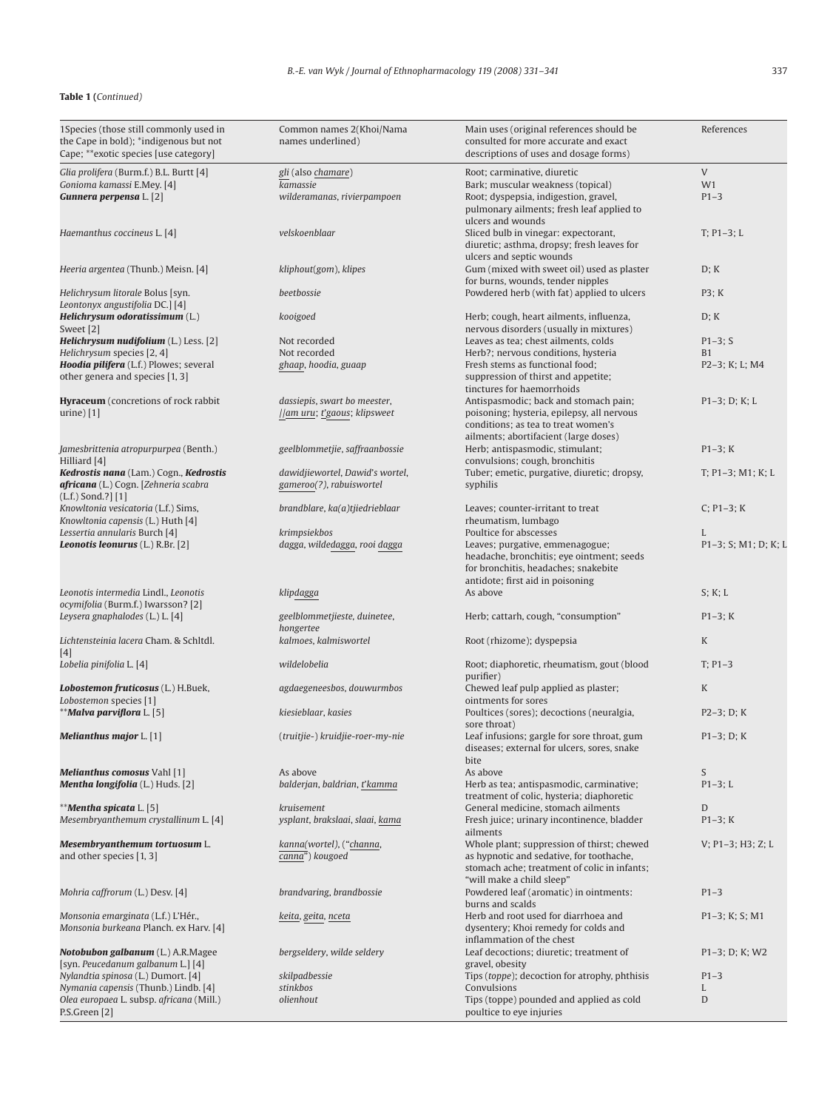| 1Species (those still commonly used in<br>the Cape in bold); *indigenous but not<br>Cape; **exotic species [use category] | Common names 2(Khoi/Nama<br>names underlined) | Main uses (original references should be<br>consulted for more accurate and exact<br>descriptions of uses and dosage forms) | References           |
|---------------------------------------------------------------------------------------------------------------------------|-----------------------------------------------|-----------------------------------------------------------------------------------------------------------------------------|----------------------|
| Glia prolifera (Burm.f.) B.L. Burtt [4]                                                                                   | gli (also chamare)                            | Root; carminative, diuretic                                                                                                 | $\mathsf{V}$         |
| Gonioma kamassi E.Mey. [4]                                                                                                | kamassie                                      | Bark; muscular weakness (topical)                                                                                           | W1                   |
| Gunnera perpensa L. [2]                                                                                                   | wilderamanas, rivierpampoen                   | Root; dyspepsia, indigestion, gravel,                                                                                       | $P1-3$               |
|                                                                                                                           |                                               | pulmonary ailments; fresh leaf applied to                                                                                   |                      |
|                                                                                                                           |                                               | ulcers and wounds                                                                                                           |                      |
| Haemanthus coccineus L. [4]                                                                                               | velskoenblaar                                 | Sliced bulb in vinegar: expectorant,                                                                                        | $T; P1-3; L$         |
|                                                                                                                           |                                               | diuretic; asthma, dropsy; fresh leaves for                                                                                  |                      |
|                                                                                                                           |                                               | ulcers and septic wounds                                                                                                    |                      |
| Heeria argentea (Thunb.) Meisn. [4]                                                                                       | kliphout(gom), klipes                         | Gum (mixed with sweet oil) used as plaster                                                                                  | D; K                 |
| Helichrysum litorale Bolus [syn.                                                                                          | beetbossie                                    | for burns, wounds, tender nipples<br>Powdered herb (with fat) applied to ulcers                                             | P3; K                |
| Leontonyx angustifolia DC.] [4]                                                                                           |                                               |                                                                                                                             |                      |
| Helichrysum odoratissimum (L.)                                                                                            | kooigoed                                      | Herb; cough, heart ailments, influenza,                                                                                     | D; K                 |
| Sweet [2]                                                                                                                 |                                               | nervous disorders (usually in mixtures)                                                                                     |                      |
| Helichrysum nudifolium (L.) Less. [2]                                                                                     | Not recorded                                  | Leaves as tea; chest ailments, colds                                                                                        | $P1 - 3$ ; S         |
| Helichrysum species [2, 4]                                                                                                | Not recorded                                  | Herb?; nervous conditions, hysteria                                                                                         | <b>B1</b>            |
| Hoodia pilifera (L.f.) Plowes; several                                                                                    | ghaap, hoodia, guaap                          | Fresh stems as functional food;                                                                                             | P2-3; K; L; M4       |
| other genera and species [1, 3]                                                                                           |                                               | suppression of thirst and appetite;                                                                                         |                      |
|                                                                                                                           |                                               | tinctures for haemorrhoids                                                                                                  |                      |
| <b>Hyraceum</b> (concretions of rock rabbit                                                                               | dassiepis, swart bo meester,                  | Antispasmodic; back and stomach pain;                                                                                       | $P1-3$ ; D; K; L     |
| urine $[1]$                                                                                                               | //am uru; t'gaous; klipsweet                  | poisoning; hysteria, epilepsy, all nervous                                                                                  |                      |
|                                                                                                                           |                                               | conditions; as tea to treat women's                                                                                         |                      |
|                                                                                                                           |                                               | ailments; abortifacient (large doses)                                                                                       |                      |
| Jamesbrittenia atropurpurpea (Benth.)<br>Hilliard [4]                                                                     | geelblommetjie, saffraanbossie                | Herb; antispasmodic, stimulant;                                                                                             | $P1-3; K$            |
| Kedrostis nana (Lam.) Cogn., Kedrostis                                                                                    | dawidjiewortel, Dawid's wortel,               | convulsions; cough, bronchitis                                                                                              | $T$ ; P1-3; M1; K; L |
| africana (L.) Cogn. [Zehneria scabra                                                                                      | gameroo(?), rabuiswortel                      | Tuber; emetic, purgative, diuretic; dropsy,<br>syphilis                                                                     |                      |
| $(L.f.)$ Sond.?] [1]                                                                                                      |                                               |                                                                                                                             |                      |
| Knowltonia vesicatoria (L.f.) Sims,                                                                                       | brandblare, ka(a)tjiedrieblaar                | Leaves; counter-irritant to treat                                                                                           | $C: P1-3: K$         |
| Knowltonia capensis (L.) Huth [4]                                                                                         |                                               | rheumatism, lumbago                                                                                                         |                      |
| Lessertia annularis Burch [4]                                                                                             | krimpsiekbos                                  | Poultice for abscesses                                                                                                      | L                    |
| <b>Leonotis leonurus</b> $(L)$ R.Br. $[2]$                                                                                | dagga, wildedagga, rooi dagga                 | Leaves; purgative, emmenagogue;                                                                                             | P1-3; S; M1; D; K; L |
|                                                                                                                           |                                               | headache, bronchitis; eye ointment; seeds                                                                                   |                      |
|                                                                                                                           |                                               | for bronchitis, headaches; snakebite                                                                                        |                      |
|                                                                                                                           |                                               | antidote; first aid in poisoning                                                                                            |                      |
| Leonotis intermedia Lindl., Leonotis                                                                                      | klipdagga                                     | As above                                                                                                                    | S; K; L              |
| ocymifolia (Burm.f.) Iwarsson? [2]                                                                                        |                                               |                                                                                                                             |                      |
| Leysera gnaphalodes (L.) L. [4]                                                                                           | geelblommetjieste, duinetee,                  | Herb; cattarh, cough, "consumption"                                                                                         | $P1-3; K$            |
| Lichtensteinia lacera Cham. & Schltdl.                                                                                    | hongertee<br>kalmoes, kalmiswortel            |                                                                                                                             | K                    |
| [4]                                                                                                                       |                                               | Root (rhizome); dyspepsia                                                                                                   |                      |
| Lobelia pinifolia L. [4]                                                                                                  | wildelobelia                                  | Root; diaphoretic, rheumatism, gout (blood                                                                                  | $T; P1-3$            |
|                                                                                                                           |                                               | purifier)                                                                                                                   |                      |
| Lobostemon fruticosus (L.) H.Buek,                                                                                        | agdaegeneesbos, douwurmbos                    | Chewed leaf pulp applied as plaster;                                                                                        | K                    |
| Lobostemon species [1]                                                                                                    |                                               | ointments for sores                                                                                                         |                      |
| **Malva parviflora L. [5]                                                                                                 | kiesieblaar, kasies                           | Poultices (sores); decoctions (neuralgia,                                                                                   | $P2-3; D; K$         |
|                                                                                                                           |                                               | sore throat)                                                                                                                |                      |
| <b>Melianthus major</b> L. [1]                                                                                            | (truitjie-) kruidjie-roer-my-nie              | Leaf infusions; gargle for sore throat, gum                                                                                 | $P1-3; D; K$         |
|                                                                                                                           |                                               | diseases; external for ulcers, sores, snake                                                                                 |                      |
|                                                                                                                           |                                               | bite                                                                                                                        |                      |
| Melianthus comosus Vahl [1]                                                                                               | As above                                      | As above                                                                                                                    | S                    |
| Mentha longifolia (L.) Huds. [2]                                                                                          | balderjan, baldrian, t'kamma                  | Herb as tea; antispasmodic, carminative;                                                                                    | $P1-3; L$            |
| ** <b>Mentha spicata</b> L. [5]                                                                                           | kruisement                                    | treatment of colic, hysteria; diaphoretic                                                                                   | D                    |
| Mesembryanthemum crystallinum L. [4]                                                                                      | ysplant, brakslaai, slaai, kama               | General medicine, stomach ailments<br>Fresh juice; urinary incontinence, bladder                                            | $P1-3; K$            |
|                                                                                                                           |                                               | ailments                                                                                                                    |                      |
| Mesembryanthemum tortuosum L.                                                                                             | kanna(wortel), ("channa,                      | Whole plant; suppression of thirst; chewed                                                                                  | $V$ ; P1-3; H3; Z; L |
| and other species [1, 3]                                                                                                  | canna") kougoed                               | as hypnotic and sedative, for toothache,                                                                                    |                      |
|                                                                                                                           |                                               | stomach ache; treatment of colic in infants;                                                                                |                      |
|                                                                                                                           |                                               | "will make a child sleep"                                                                                                   |                      |
| Mohria caffrorum (L.) Desv. [4]                                                                                           | brandvaring, brandbossie                      | Powdered leaf (aromatic) in ointments:                                                                                      | $P1-3$               |
|                                                                                                                           |                                               | burns and scalds                                                                                                            |                      |
| Monsonia emarginata (L.f.) L'Hér.,                                                                                        | keita, geita, nceta                           | Herb and root used for diarrhoea and                                                                                        | $P1-3$ ; K; S; M1    |
| Monsonia burkeana Planch. ex Harv. [4]                                                                                    |                                               | dysentery; Khoi remedy for colds and                                                                                        |                      |
|                                                                                                                           |                                               | inflammation of the chest                                                                                                   |                      |
| Notobubon galbanum (L.) A.R.Magee                                                                                         |                                               | Leaf decoctions; diuretic; treatment of                                                                                     | $P1-3$ ; D; K; W2    |
| [syn. Peucedanum galbanum L.] [4]                                                                                         | bergseldery, wilde seldery                    |                                                                                                                             |                      |
|                                                                                                                           |                                               | gravel, obesity                                                                                                             |                      |
| Nylandtia spinosa (L.) Dumort. [4]                                                                                        | skilpadbessie                                 | Tips (toppe); decoction for atrophy, phthisis                                                                               | $P1-3$               |
| Nymania capensis (Thunb.) Lindb. [4]<br>Olea europaea L. subsp. africana (Mill.)                                          | stinkbos<br>olienhout                         | Convulsions<br>Tips (toppe) pounded and applied as cold                                                                     | L<br>D               |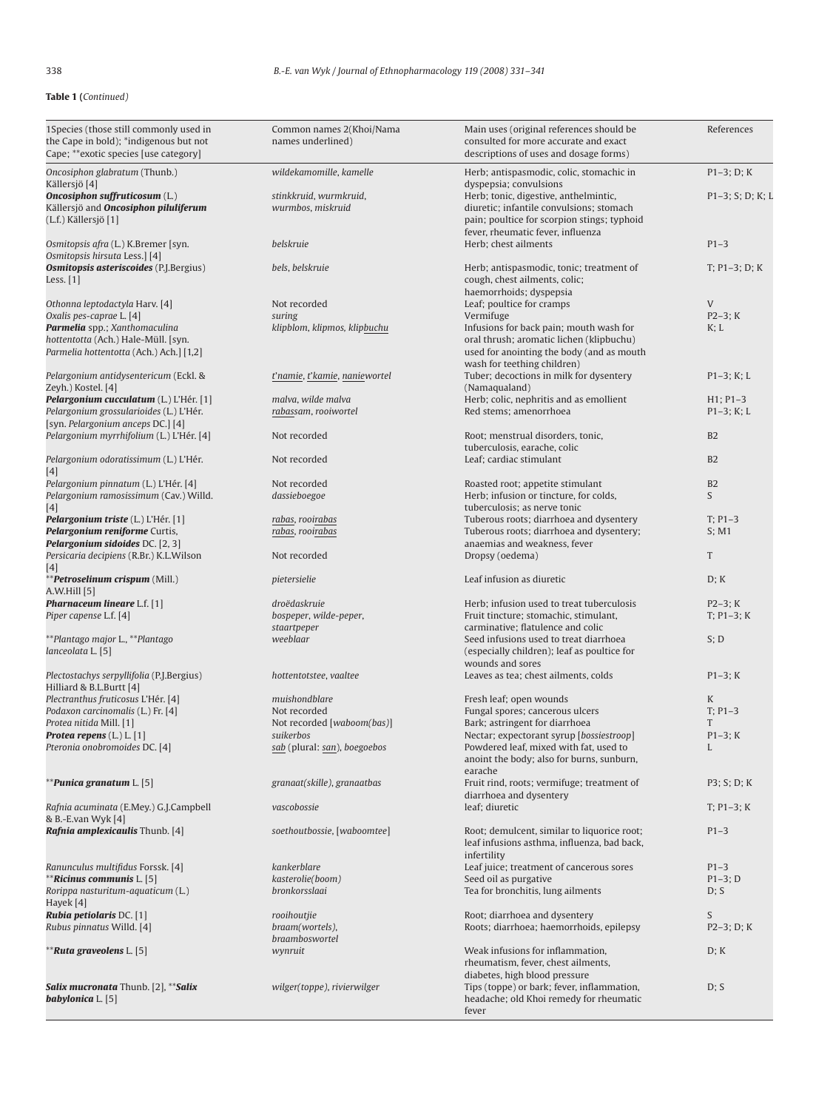| 1Species (those still commonly used in<br>the Cape in bold); *indigenous but not<br>Cape; **exotic species [use category]    | Common names 2(Khoi/Nama<br>names underlined)                           | Main uses (original references should be<br>consulted for more accurate and exact<br>descriptions of uses and dosage forms)                                       | References                  |
|------------------------------------------------------------------------------------------------------------------------------|-------------------------------------------------------------------------|-------------------------------------------------------------------------------------------------------------------------------------------------------------------|-----------------------------|
| Oncosiphon glabratum (Thunb.)                                                                                                | wildekamomille, kamelle                                                 | Herb; antispasmodic, colic, stomachic in                                                                                                                          | $P1-3; D; K$                |
| Källersjö [4]<br><b>Oncosiphon suffruticosum (L.)</b><br>Källersjö and <b>Oncosiphon piluliferum</b><br>(L.f.) Källersjö [1] | stinkkruid, wurmkruid,<br>wurmbos, miskruid                             | dyspepsia; convulsions<br>Herb; tonic, digestive, anthelmintic,<br>diuretic; infantile convulsions; stomach<br>pain; poultice for scorpion stings; typhoid        | $P1-3$ ; S; D; K; L         |
| Osmitopsis afra (L.) K.Bremer [syn.<br>Osmitopsis hirsuta Less.] [4]                                                         | belskruie                                                               | fever, rheumatic fever, influenza<br>Herb; chest ailments                                                                                                         | $P1-3$                      |
| <b>Osmitopsis asteriscoides</b> (P.J.Bergius)<br>Less. [1]                                                                   | bels, belskruie                                                         | Herb; antispasmodic, tonic; treatment of<br>cough, chest ailments, colic;<br>haemorrhoids; dyspepsia                                                              | $T: P1-3: D: K$             |
| Othonna leptodactyla Harv. [4]<br>Oxalis pes-caprae L. [4]                                                                   | Not recorded<br>suring                                                  | Leaf; poultice for cramps<br>Vermifuge                                                                                                                            | V<br>$P2-3; K$              |
| Parmelia spp.; Xanthomaculina<br>hottentotta (Ach.) Hale-Müll. [syn.<br>Parmelia hottentotta (Ach.) Ach.] [1,2]              | klipblom, klipmos, klipbuchu                                            | Infusions for back pain; mouth wash for<br>oral thrush; aromatic lichen (klipbuchu)<br>used for anointing the body (and as mouth<br>wash for teething children)   | K; L                        |
| Pelargonium antidysentericum (Eckl. &<br>Zeyh.) Kostel. [4]                                                                  | t'namie, t'kamie, naniewortel                                           | Tuber; decoctions in milk for dysentery<br>(Namaqualand)                                                                                                          | $P1-3; K; L$                |
| Pelargonium cucculatum (L.) L'Hér. [1]<br>Pelargonium grossularioides (L.) L'Hér.<br>[syn. Pelargonium anceps DC.] [4]       | malva, wilde malva<br>rabassam, rooiwortel                              | Herb; colic, nephritis and as emollient<br>Red stems; amenorrhoea                                                                                                 | $H1$ ; P1-3<br>$P1-3; K; L$ |
| Pelargonium myrrhifolium (L.) L'Hér. [4]                                                                                     | Not recorded                                                            | Root; menstrual disorders, tonic,<br>tuberculosis, earache, colic                                                                                                 | B <sub>2</sub>              |
| Pelargonium odoratissimum (L.) L'Hér.<br>$[4]$                                                                               | Not recorded                                                            | Leaf; cardiac stimulant                                                                                                                                           | B <sub>2</sub>              |
| Pelargonium pinnatum (L.) L'Hér. [4]<br>Pelargonium ramosissimum (Cav.) Willd.                                               | Not recorded<br>dassieboegoe                                            | Roasted root; appetite stimulant<br>Herb; infusion or tincture, for colds,<br>tuberculosis; as nerve tonic                                                        | B <sub>2</sub><br>S         |
| $[4]$<br>Pelargonium triste (L.) L'Hér. [1]<br>Pelargonium reniforme Curtis,<br>Pelargonium sidoides DC. [2, 3]              | rabas, rooirabas<br>rabas, rooirabas                                    | Tuberous roots; diarrhoea and dysentery<br>Tuberous roots; diarrhoea and dysentery;<br>anaemias and weakness, fever                                               | $T: P1-3$<br>S; M1          |
| Persicaria decipiens (R.Br.) K.L.Wilson<br>$[4]$                                                                             | Not recorded                                                            | Dropsy (oedema)                                                                                                                                                   | T                           |
| **Petroselinum crispum (Mill.)<br>A.W.Hill [5]                                                                               | pietersielie                                                            | Leaf infusion as diuretic                                                                                                                                         | D; K                        |
| <b>Pharnaceum lineare</b> L.f. [1]<br>Piper capense L.f. [4]                                                                 | droëdaskruie<br>bospeper, wilde-peper,<br>staartpeper                   | Herb; infusion used to treat tuberculosis<br>Fruit tincture; stomachic, stimulant,<br>carminative; flatulence and colic                                           | $P2-3; K$<br>$T; P1-3; K$   |
| **Plantago major L., **Plantago<br>lanceolata L. [5]                                                                         | weeblaar                                                                | Seed infusions used to treat diarrhoea<br>(especially children); leaf as poultice for<br>wounds and sores                                                         | S; D                        |
| Plectostachys serpyllifolia (P.J.Bergius)<br>Hilliard & B.L.Burtt [4]                                                        | hottentotstee, vaaltee                                                  | Leaves as tea; chest ailments, colds                                                                                                                              | $P1-3; K$                   |
| Plectranthus fruticosus L'Hér. [4]<br>Podaxon carcinomalis (L.) Fr. [4]                                                      | muishondblare<br>Not recorded                                           | Fresh leaf; open wounds<br>Fungal spores; cancerous ulcers                                                                                                        | K<br>$T: P1-3$              |
| Protea nitida Mill. [1]<br><b>Protea repens</b> $(L) L [1]$<br>Pteronia onobromoides DC. [4]                                 | Not recorded [waboom(bas)]<br>suikerbos<br>sab (plural: san), boegoebos | Bark; astringent for diarrhoea<br>Nectar; expectorant syrup [bossiestroop]<br>Powdered leaf, mixed with fat, used to<br>anoint the body; also for burns, sunburn, | T<br>$P1-3; K$<br>L         |
| <b>**Punica granatum L. [5]</b>                                                                                              | granaat(skille), granaatbas                                             | earache<br>Fruit rind, roots; vermifuge; treatment of<br>diarrhoea and dysentery                                                                                  | P3; S; D; K                 |
| Rafnia acuminata (E.Mey.) G.J.Campbell<br>& B.-E.van Wyk [4]                                                                 | vascobossie                                                             | leaf; diuretic                                                                                                                                                    | $T: P1-3: K$                |
| Rafnia amplexicaulis Thunb. [4]                                                                                              | soethoutbossie, [waboomtee]                                             | Root; demulcent, similar to liquorice root;<br>leaf infusions asthma, influenza, bad back,<br>infertility                                                         | $P1-3$                      |
| Ranunculus multifidus Forssk. [4]<br>** <b>Ricinus communis</b> L. [5]<br>Rorippa nasturitum-aquaticum (L.)<br>Hayek [4]     | kankerblare<br>kasterolie(boom)<br>bronkorsslaai                        | Leaf juice; treatment of cancerous sores<br>Seed oil as purgative<br>Tea for bronchitis, lung ailments                                                            | $P1-3$<br>$P1-3; D$<br>D; S |
| Rubia petiolaris DC. [1]<br>Rubus pinnatus Willd. [4]                                                                        | rooihoutjie<br>braam(wortels),<br>braamboswortel                        | Root; diarrhoea and dysentery<br>Roots; diarrhoea; haemorrhoids, epilepsy                                                                                         | S<br>$P2-3; D; K$           |
| <b>**Ruta graveolens L. [5]</b>                                                                                              | wynruit                                                                 | Weak infusions for inflammation,<br>rheumatism, fever, chest ailments,                                                                                            | D; K                        |
| Salix mucronata Thunb. [2], **Salix<br>babylonica $L$ . [5]                                                                  | wilger(toppe), rivierwilger                                             | diabetes, high blood pressure<br>Tips (toppe) or bark; fever, inflammation,<br>headache; old Khoi remedy for rheumatic<br>fever                                   | D; S                        |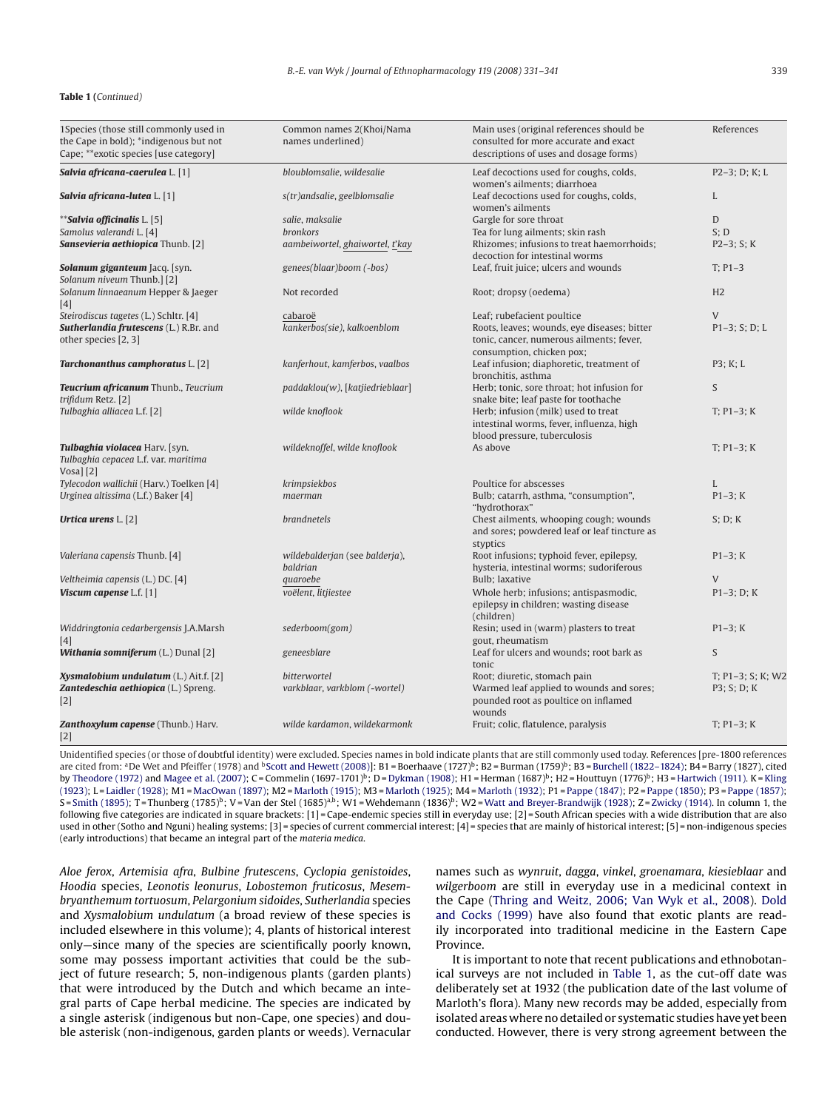| 1Species (those still commonly used in<br>the Cape in bold); *indigenous but not<br>Cape; **exotic species [use category] | Common names 2(Khoi/Nama<br>names underlined)        | Main uses (original references should be<br>consulted for more accurate and exact<br>descriptions of uses and dosage forms) | References                       |
|---------------------------------------------------------------------------------------------------------------------------|------------------------------------------------------|-----------------------------------------------------------------------------------------------------------------------------|----------------------------------|
| Salvia africana-caerulea L. [1]                                                                                           | bloublomsalie, wildesalie                            | Leaf decoctions used for coughs, colds,<br>women's ailments; diarrhoea                                                      | $P2-3; D; K; L$                  |
| Salvia africana-lutea L. [1]                                                                                              | s(tr)andsalie, geelblomsalie                         | Leaf decoctions used for coughs, colds,<br>women's ailments                                                                 | L                                |
| ** <b>Salvia officinalis</b> L. [5]                                                                                       | salie, maksalie                                      | Gargle for sore throat                                                                                                      | D                                |
| Samolus valerandi L. [4]                                                                                                  | <b>bronkors</b>                                      | Tea for lung ailments; skin rash                                                                                            | S: D                             |
| Sansevieria aethiopica Thunb. [2]                                                                                         | aambeiwortel, ghaiwortel, t'kay                      | Rhizomes; infusions to treat haemorrhoids;<br>decoction for intestinal worms                                                | $P2-3; S; K$                     |
| Solanum giganteum Jacq. [syn.<br>Solanum niveum Thunb.] [2]                                                               | genees(blaar)boom (-bos)                             | Leaf, fruit juice; ulcers and wounds                                                                                        | $T: P1-3$                        |
| Solanum linnaeanum Hepper & Jaeger<br>[4]                                                                                 | Not recorded                                         | Root; dropsy (oedema)                                                                                                       | H <sub>2</sub>                   |
| Steirodiscus tagetes (L.) Schltr. [4]                                                                                     | cabaroë                                              | Leaf; rubefacient poultice                                                                                                  | $\mathbf{V}$                     |
| Sutherlandia frutescens (L.) R.Br. and<br>other species [2, 3]                                                            | kankerbos(sie), kalkoenblom                          | Roots, leaves; wounds, eye diseases; bitter<br>tonic, cancer, numerous ailments; fever,<br>consumption, chicken pox;        | $P1-3; S; D; L$                  |
| Tarchonanthus camphoratus L. [2]                                                                                          | kanferhout, kamferbos, vaalbos                       | Leaf infusion; diaphoretic, treatment of<br>bronchitis, asthma                                                              | P3; K; L                         |
| Teucrium africanum Thunb., Teucrium<br>trifidum Retz. [2]                                                                 | paddaklou(w), [katjiedrieblaar]                      | Herb; tonic, sore throat; hot infusion for<br>snake bite; leaf paste for toothache                                          | S                                |
| Tulbaghia alliacea L.f. [2]                                                                                               | wilde knoflook                                       | Herb; infusion (milk) used to treat<br>intestinal worms, fever, influenza, high<br>blood pressure, tuberculosis             | $T; P1-3; K$                     |
| Tulbaghia violacea Harv. [syn.<br>Tulbaghia cepacea L.f. var. maritima<br>$V$ osa] $[2]$                                  | wildeknoffel, wilde knoflook                         | As above                                                                                                                    | $T; P1-3; K$                     |
| Tylecodon wallichii (Harv.) Toelken [4]                                                                                   | krimpsiekbos                                         | Poultice for abscesses                                                                                                      | L                                |
| Urginea altissima (L.f.) Baker [4]                                                                                        | maerman                                              | Bulb; catarrh, asthma, "consumption",<br>"hydrothorax"                                                                      | $P1-3; K$                        |
| Urtica urens $L$ . [2]                                                                                                    | brandnetels                                          | Chest ailments, whooping cough; wounds<br>and sores; powdered leaf or leaf tincture as<br>styptics                          | S; D; K                          |
| Valeriana capensis Thunb. [4]                                                                                             | wildebalderjan (see balderja),<br>baldrian           | Root infusions; typhoid fever, epilepsy,<br>hysteria, intestinal worms; sudoriferous                                        | $P1-3; K$                        |
| Veltheimia capensis (L.) DC. [4]                                                                                          | quaroebe                                             | <b>Bulb: laxative</b>                                                                                                       | V                                |
| Viscum capense L.f. [1]                                                                                                   | voëlent, litjiestee                                  | Whole herb; infusions; antispasmodic,<br>epilepsy in children; wasting disease<br>(children)                                | $P1-3$ ; D; K                    |
| Widdringtonia cedarbergensis J.A.Marsh<br>[4]                                                                             | sederboom(gom)                                       | Resin; used in (warm) plasters to treat<br>gout, rheumatism                                                                 | $P1-3; K$                        |
| <b>Withania somniferum</b> (L.) Dunal [2]                                                                                 | geneesblare                                          | Leaf for ulcers and wounds; root bark as<br>tonic                                                                           | S                                |
| Xysmalobium undulatum (L.) Ait.f. [2]<br>Zantedeschia aethiopica (L.) Spreng.<br>$[2]$                                    | <b>bitterwortel</b><br>varkblaar, varkblom (-wortel) | Root; diuretic, stomach pain<br>Warmed leaf applied to wounds and sores;<br>pounded root as poultice on inflamed<br>wounds  | T; P1-3; S; K; W2<br>P3; S; D; K |
| Zanthoxylum capense (Thunb.) Harv.<br>$[2]$                                                                               | wilde kardamon, wildekarmonk                         | Fruit; colic, flatulence, paralysis                                                                                         | $T; P1-3; K$                     |

Unidentified species (or those of doubtful identity) were excluded. Species names in bold indicate plants that are still commonly used today. References [pre-1800 references are cited from: <sup>a</sup>De Wet and Pfeiffer (1978) and <sup>b</sup>[Scott and Hewett \(2008\)\]:](#page-9-0) B1 = Boerhaave (1727)<sup>b</sup>; B2 = Burman (1759)<sup>b</sup>; B3 = [Burchell \(1822–1824\); B](#page-9-0)4 = Barry (1827), cited by [Theodore \(1972\)](#page-10-0) and [Magee et al. \(2007\); C](#page-9-0) = Commelin (1697-1701)<sup>b</sup>; D = [Dykman \(1908\); H](#page-9-0)1 = Herman (1687)<sup>b</sup>; H2 = Houttuyn (1776)<sup>b</sup>; H3 = Hartwich (1911). K = [Kling](#page-9-0) [\(1923\); L](#page-9-0)= [Laidler \(1928\); M](#page-9-0)1 = [MacOwan \(1897\); M](#page-9-0)2 = [Marloth \(1915\); M](#page-9-0)3 = [Marloth \(1925\); M](#page-9-0)4 = [Marloth \(1932\); P](#page-9-0)1 = [Pappe \(1847\); P](#page-9-0)2 = [Pappe \(1850\); P](#page-9-0)3 = [Pappe \(1857\);](#page-9-0) S = [Smith \(1895\); T](#page-10-0) = Thunberg (1785)<sup>b</sup>; V = Van der Stel (1685)<sup>a,b</sup>; W1 = Wehdemann (1836)<sup>b</sup>; W2 = [Watt and Breyer-Brandwijk \(1928\); Z](#page-10-0) = [Zwicky \(1914\). I](#page-10-0)n column 1, the following five categories are indicated in square brackets: [1] = Cape-endemic species still in everyday use; [2] = South African species with a wide distribution that are also used in other (Sotho and Nguni) healing systems; [3] = species of current commercial interest; [4] = species that are mainly of historical interest; [5] = non-indigenous species (early introductions) that became an integral part of the *materia medica*.

*Aloe ferox*, *Artemisia afra*, *Bulbine frutescens*, *Cyclopia genistoides*, *Hoodia* species, *Leonotis leonurus*, *Lobostemon fruticosus*, *Mesembryanthemum tortuosum*, *Pelargonium sidoides*, *Sutherlandia* species and *Xysmalobium undulatum* (a broad review of these species is included elsewhere in this volume); 4, plants of historical interest only—since many of the species are scientifically poorly known, some may possess important activities that could be the subject of future research; 5, non-indigenous plants (garden plants) that were introduced by the Dutch and which became an integral parts of Cape herbal medicine. The species are indicated by a single asterisk (indigenous but non-Cape, one species) and double asterisk (non-indigenous, garden plants or weeds). Vernacular

names such as *wynruit*, *dagga*, *vinkel*, *groenamara*, *kiesieblaar* and *wilgerboom* are still in everyday use in a medicinal context in the Cape ([Thring and Weitz, 2006; Van Wyk et al., 2008\).](#page-10-0) [Dold](#page-9-0) [and Cocks \(1999\)](#page-9-0) have also found that exotic plants are readily incorporated into traditional medicine in the Eastern Cape Province.

It is important to note that recent publications and ethnobotanical surveys are not included in [Table 1,](#page-4-0) as the cut-off date was deliberately set at 1932 (the publication date of the last volume of Marloth's flora). Many new records may be added, especially from isolated areas where no detailed or systematic studies have yet been conducted. However, there is very strong agreement between the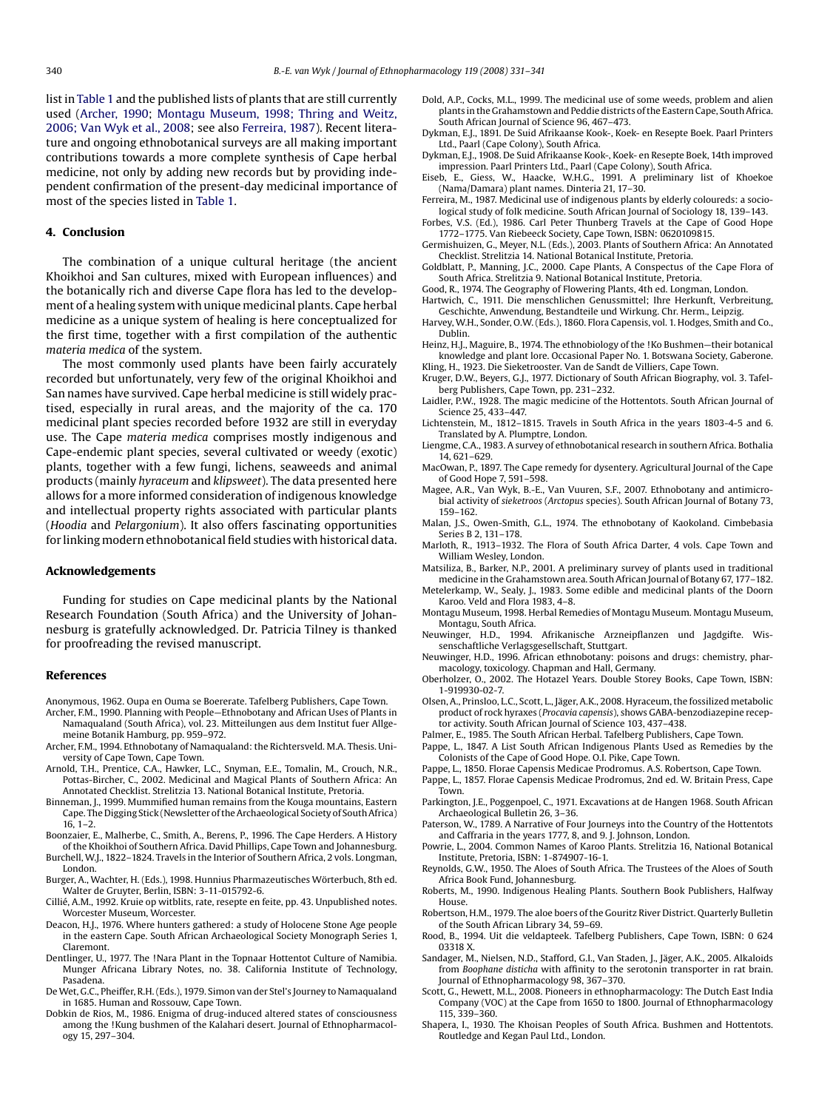<span id="page-9-0"></span>list in [Table 1](#page-4-0) and the published lists of plants that are still currently used (Archer, 1990; Montagu Museum, 1998; Thring and Weitz, 2006; Van Wyk et al., 2008; see also Ferreira, 1987). Recent literature and ongoing ethnobotanical surveys are all making important contributions towards a more complete synthesis of Cape herbal medicine, not only by adding new records but by providing independent confirmation of the present-day medicinal importance of most of the species listed in [Table 1.](#page-4-0)

#### **4. Conclusion**

The combination of a unique cultural heritage (the ancient Khoikhoi and San cultures, mixed with European influences) and the botanically rich and diverse Cape flora has led to the development of a healing system with unique medicinal plants. Cape herbal medicine as a unique system of healing is here conceptualized for the first time, together with a first compilation of the authentic *materia medica* of the system.

The most commonly used plants have been fairly accurately recorded but unfortunately, very few of the original Khoikhoi and San names have survived. Cape herbal medicine is still widely practised, especially in rural areas, and the majority of the ca. 170 medicinal plant species recorded before 1932 are still in everyday use. The Cape *materia medica* comprises mostly indigenous and Cape-endemic plant species, several cultivated or weedy (exotic) plants, together with a few fungi, lichens, seaweeds and animal products (mainly *hyraceum* and *klipsweet*). The data presented here allows for a more informed consideration of indigenous knowledge and intellectual property rights associated with particular plants (*Hoodia* and *Pelargonium*). It also offers fascinating opportunities for linking modern ethnobotanical field studies with historical data.

#### **Acknowledgements**

Funding for studies on Cape medicinal plants by the National Research Foundation (South Africa) and the University of Johannesburg is gratefully acknowledged. Dr. Patricia Tilney is thanked for proofreading the revised manuscript.

#### **References**

- Anonymous, 1962. Oupa en Ouma se Boererate. Tafelberg Publishers, Cape Town.
- Archer, F.M., 1990. Planning with People—Ethnobotany and African Uses of Plants in Namaqualand (South Africa), vol. 23. Mitteilungen aus dem Institut fuer Allgemeine Botanik Hamburg, pp. 959–972.
- Archer, F.M., 1994. Ethnobotany of Namaqualand: the Richtersveld. M.A. Thesis. University of Cape Town, Cape Town.
- Arnold, T.H., Prentice, C.A., Hawker, L.C., Snyman, E.E., Tomalin, M., Crouch, N.R., Pottas-Bircher, C., 2002. Medicinal and Magical Plants of Southern Africa: An Annotated Checklist. Strelitzia 13. National Botanical Institute, Pretoria.
- Binneman, J., 1999. Mummified human remains from the Kouga mountains, Eastern Cape. The Digging Stick (Newsletter of the Archaeological Society of South Africa) 16, 1–2.
- Boonzaier, E., Malherbe, C., Smith, A., Berens, P., 1996. The Cape Herders. A History of the Khoikhoi of Southern Africa. David Phillips, Cape Town and Johannesburg.
- Burchell, W.J., 1822–1824. Travels in the Interior of Southern Africa, 2 vols. Longman, London.
- Burger, A., Wachter, H. (Eds.), 1998. Hunnius Pharmazeutisches Wörterbuch, 8th ed. Walter de Gruyter, Berlin, ISBN: 3-11-015792-6.
- Cillié, A.M., 1992. Kruie op witblits, rate, resepte en feite, pp. 43. Unpublished notes. Worcester Museum, Worcester.
- Deacon, H.J., 1976. Where hunters gathered: a study of Holocene Stone Age people in the eastern Cape. South African Archaeological Society Monograph Series 1, Claremont.
- Dentlinger, U., 1977. The !Nara Plant in the Topnaar Hottentot Culture of Namibia. Munger Africana Library Notes, no. 38. California Institute of Technology, Pasadena.
- DeWet, G.C., Pheiffer, R.H. (Eds.), 1979. Simon van der Stel's Journey to Namaqualand in 1685. Human and Rossouw, Cape Town.
- Dobkin de Rios, M., 1986. Enigma of drug-induced altered states of consciousness among the !Kung bushmen of the Kalahari desert. Journal of Ethnopharmacology 15, 297–304.
- Dold, A.P., Cocks, M.L., 1999. The medicinal use of some weeds, problem and alien plants in the Grahamstown and Peddie districts of the Eastern Cape, South Africa. South African Journal of Science 96, 467–473.
- Dykman, E.J., 1891. De Suid Afrikaanse Kook-, Koek- en Resepte Boek. Paarl Printers Ltd., Paarl (Cape Colony), South Africa.
- Dykman, E.J., 1908. De Suid Afrikaanse Kook-, Koek- en Resepte Boek, 14th improved impression. Paarl Printers Ltd., Paarl (Cape Colony), South Africa.
- Eiseb, E., Giess, W., Haacke, W.H.G., 1991. A preliminary list of Khoekoe (Nama/Damara) plant names. Dinteria 21, 17–30.
- Ferreira, M., 1987. Medicinal use of indigenous plants by elderly coloureds: a sociological study of folk medicine. South African Journal of Sociology 18, 139–143.
- Forbes, V.S. (Ed.), 1986. Carl Peter Thunberg Travels at the Cape of Good Hope 1772–1775. Van Riebeeck Society, Cape Town, ISBN: 0620109815.
- Germishuizen, G., Meyer, N.L. (Eds.), 2003. Plants of Southern Africa: An Annotated Checklist. Strelitzia 14. National Botanical Institute, Pretoria.
- Goldblatt, P., Manning, J.C., 2000. Cape Plants, A Conspectus of the Cape Flora of South Africa. Strelitzia 9. National Botanical Institute, Pretoria.
- Good, R., 1974. The Geography of Flowering Plants, 4th ed. Longman, London.
- Hartwich, C., 1911. Die menschlichen Genussmittel; Ihre Herkunft, Verbreitung, Geschichte, Anwendung, Bestandteile und Wirkung. Chr. Herm., Leipzig.
- Harvey, W.H., Sonder, O.W. (Eds.), 1860. Flora Capensis, vol. 1. Hodges, Smith and Co., Dublin.
- Heinz, H.J., Maguire, B., 1974. The ethnobiology of the !Ko Bushmen—their botanical knowledge and plant lore. Occasional Paper No. 1. Botswana Society, Gaberone. Kling, H., 1923. Die Sieketrooster. Van de Sandt de Villiers, Cape Town.
- Kruger, D.W., Beyers, G.J., 1977. Dictionary of South African Biography, vol. 3. Tafelberg Publishers, Cape Town, pp. 231–232.
- Laidler, P.W., 1928. The magic medicine of the Hottentots. South African Journal of Science 25, 433–447.
- Lichtenstein, M., 1812–1815. Travels in South Africa in the years 1803-4-5 and 6. Translated by A. Plumptre, London.
- Liengme, C.A., 1983. A survey of ethnobotanical research in southern Africa. Bothalia 14, 621–629.
- MacOwan, P., 1897. The Cape remedy for dysentery. Agricultural Journal of the Cape of Good Hope 7, 591–598.
- Magee, A.R., Van Wyk, B.-E., Van Vuuren, S.F., 2007. Ethnobotany and antimicrobial activity of *sieketroos* (*Arctopus* species). South African Journal of Botany 73, 159–162.
- Malan, J.S., Owen-Smith, G.L., 1974. The ethnobotany of Kaokoland. Cimbebasia Series B 2, 131–178.
- Marloth, R., 1913–1932. The Flora of South Africa Darter, 4 vols. Cape Town and William Wesley, London.
- Matsiliza, B., Barker, N.P., 2001. A preliminary survey of plants used in traditional medicine in the Grahamstown area. South African Journal of Botany 67, 177–182.
- Metelerkamp, W., Sealy, J., 1983. Some edible and medicinal plants of the Doorn Karoo. Veld and Flora 1983, 4–8.
- Montagu Museum, 1998. Herbal Remedies of Montagu Museum. Montagu Museum, Montagu, South Africa.
- Neuwinger, H.D., 1994. Afrikanische Arzneipflanzen und Jagdgifte. Wissenschaftliche Verlagsgesellschaft, Stuttgart.
- Neuwinger, H.D., 1996. African ethnobotany: poisons and drugs: chemistry, pharmacology, toxicology. Chapman and Hall, Germany.
- Oberholzer, O., 2002. The Hotazel Years. Double Storey Books, Cape Town, ISBN: 1-919930-02-7.
- Olsen, A., Prinsloo, L.C., Scott, L., Jäger, A.K., 2008. Hyraceum, the fossilized metabolic product of rock hyraxes (*Procavia capensis*), shows GABA-benzodiazepine receptor activity. South African Journal of Science 103, 437–438.
- Palmer, E., 1985. The South African Herbal. Tafelberg Publishers, Cape Town.
- Pappe, L., 1847. A List South African Indigenous Plants Used as Remedies by the Colonists of the Cape of Good Hope. O.I. Pike, Cape Town.
- Pappe, L., 1850. Florae Capensis Medicae Prodromus. A.S. Robertson, Cape Town.
- Pappe, L., 1857. Florae Capensis Medicae Prodromus, 2nd ed. W. Britain Press, Cape Town.
- Parkington, J.E., Poggenpoel, C., 1971. Excavations at de Hangen 1968. South African Archaeological Bulletin 26, 3–36.
- Paterson, W., 1789. A Narrative of Four Journeys into the Country of the Hottentots and Caffraria in the years 1777, 8, and 9. J. Johnson, London.
- Powrie, L., 2004. Common Names of Karoo Plants. Strelitzia 16, National Botanical Institute, Pretoria, ISBN: 1-874907-16-1.
- Reynolds, G.W., 1950. The Aloes of South Africa. The Trustees of the Aloes of South Africa Book Fund, Johannesburg.
- Roberts, M., 1990. Indigenous Healing Plants. Southern Book Publishers, Halfway House.
- Robertson, H.M., 1979. The aloe boers of the Gouritz River District. Quarterly Bulletin of the South African Library 34, 59–69.
- Rood, B., 1994. Uit die veldapteek. Tafelberg Publishers, Cape Town, ISBN: 0 624 03318 X.
- Sandager, M., Nielsen, N.D., Stafford, G.I., Van Staden, J., Jäger, A.K., 2005. Alkaloids from *Boophane disticha* with affinity to the serotonin transporter in rat brain. Journal of Ethnopharmacology 98, 367–370.
- Scott, G., Hewett, M.L., 2008. Pioneers in ethnopharmacology: The Dutch East India Company (VOC) at the Cape from 1650 to 1800. Journal of Ethnopharmacology 115, 339–360.
- Shapera, I., 1930. The Khoisan Peoples of South Africa. Bushmen and Hottentots. Routledge and Kegan Paul Ltd., London.